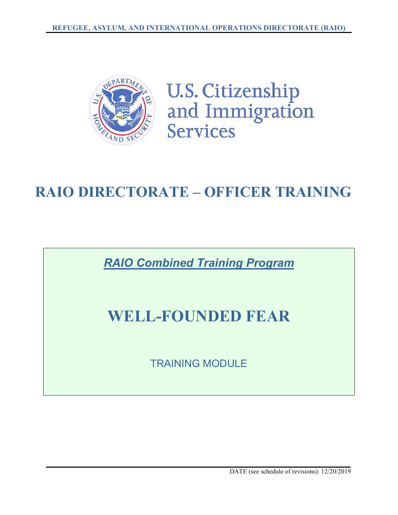

U.S. Citizenship<br>and Immigration<br>Services

# **RAIO DIRECTORATE – OFFICER TRAINING**

*RAIO Combined Training Program*

# **WELL-FOUNDED FEAR**

TRAINING MODULE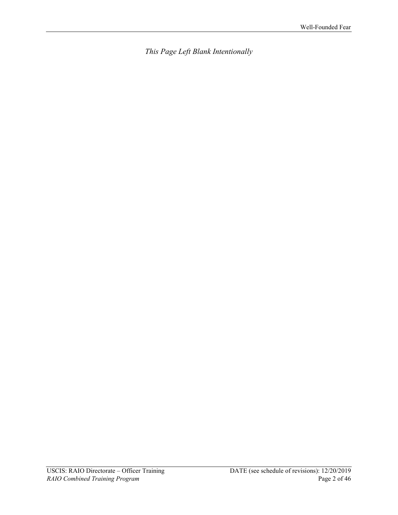*This Page Left Blank Intentionally*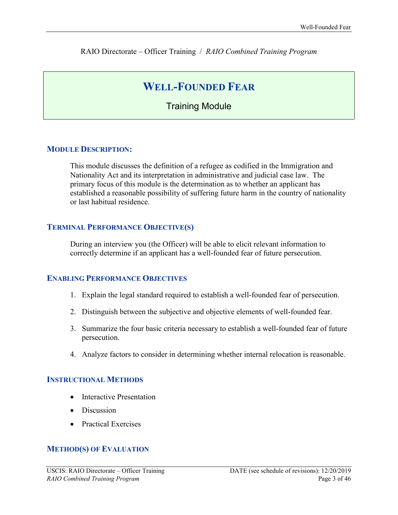#### RAIO Directorate – Officer Training / *RAIO Combined Training Program*

# **WELL-FOUNDED FEAR**

Training Module

#### **MODULE DESCRIPTION:**

This module discusses the definition of a refugee as codified in the Immigration and Nationality Act and its interpretation in administrative and judicial case law. The primary focus of this module is the determination as to whether an applicant has established a reasonable possibility of suffering future harm in the country of nationality or last habitual residence.

#### **TERMINAL PERFORMANCE OBJECTIVE(S)**

During an interview you (the Officer) will be able to elicit relevant information to correctly determine if an applicant has a well-founded fear of future persecution.

#### **ENABLING PERFORMANCE OBJECTIVES**

- 1. Explain the legal standard required to establish a well-founded fear of persecution.
- 2. Distinguish between the subjective and objective elements of well-founded fear.
- 3. Summarize the four basic criteria necessary to establish a well-founded fear of future persecution.
- 4. Analyze factors to consider in determining whether internal relocation is reasonable.

#### **INSTRUCTIONAL METHODS**

- Interactive Presentation
- Discussion
- Practical Exercises

## **METHOD(S) OF EVALUATION**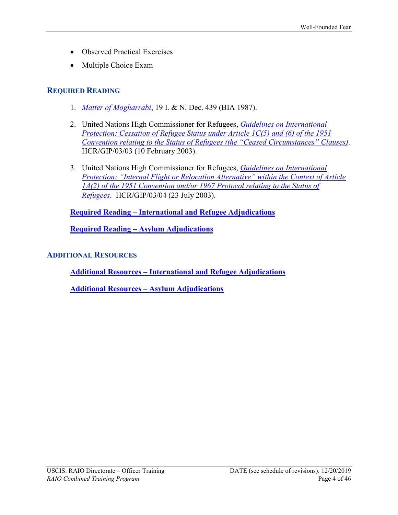- Observed Practical Exercises
- Multiple Choice Exam

#### **REQUIRED READING**

- 1. *[Matter of Mogharrabi](http://web2.westlaw.com/find/default.wl?rs=WLW11.04&rp=%2ffind%2fdefault.wl&vr=2.0&fn=_top&mt=Westlaw&cite=19+I%26N+Dec.+439+&sv=Split)*, 19 I. & N. Dec. 439 (BIA 1987).
- 2. United Nations High Commissioner for Refugees, *[Guidelines on International](https://ecn.uscis.dhs.gov/team/raio/PerMgt/Training/TrainingTeam/RDOT%20Curriculum%20Library/UNHCR%20Guidelines%20on%20Int)  [Protection: Cessation of Refugee Status under Article 1C\(5\) and \(6\) of the 1951](https://ecn.uscis.dhs.gov/team/raio/PerMgt/Training/TrainingTeam/RDOT%20Curriculum%20Library/UNHCR%20Guidelines%20on%20Int)  [Convention relating to the Status of Refugees \(the "Ceased Circumstances" Clauses\)](https://ecn.uscis.dhs.gov/team/raio/PerMgt/Training/TrainingTeam/RDOT%20Curriculum%20Library/UNHCR%20Guidelines%20on%20Int)*. HCR/GIP/03/03 (10 February 2003).
- 3. United Nations High Commissioner for Refugees, *[Guidelines on International](https://ecn.uscis.dhs.gov/team/raio/PerMgt/Training/TrainingTeam/RDOT%20Curriculum%20Library/UNHCR%20Guidelines%20on%20Int)  [Protection: "Internal Flight or Relocation Alternative" within the Context of Article](https://ecn.uscis.dhs.gov/team/raio/PerMgt/Training/TrainingTeam/RDOT%20Curriculum%20Library/UNHCR%20Guidelines%20on%20Int)  [1A\(2\) of the 1951 Convention and/or 1967 Protocol relating to the Status of](https://ecn.uscis.dhs.gov/team/raio/PerMgt/Training/TrainingTeam/RDOT%20Curriculum%20Library/UNHCR%20Guidelines%20on%20Int)  [Refugees](https://ecn.uscis.dhs.gov/team/raio/PerMgt/Training/TrainingTeam/RDOT%20Curriculum%20Library/UNHCR%20Guidelines%20on%20Int).* HCR/GIP/03/04 (23 July 2003).

**Required Reading – International and [Refugee Adjudications](#page-33-0)** 

**Required Reading – [Asylum Adjudications](#page-37-0)**

#### **ADDITIONAL RESOURCES**•

**Additional Resources – [International and Refugee Adjudications](#page-33-0)**

**Additional Resources – [Asylum Adjudications](#page-37-0)**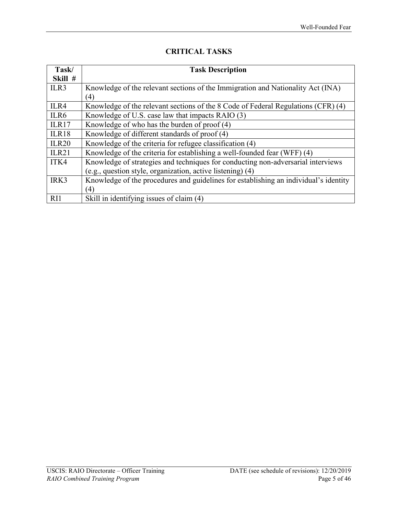| Task/            | <b>Task Description</b>                                                              |
|------------------|--------------------------------------------------------------------------------------|
| Skill $#$        |                                                                                      |
| ILR <sub>3</sub> | Knowledge of the relevant sections of the Immigration and Nationality Act (INA)      |
|                  | (4)                                                                                  |
| ILR4             | Knowledge of the relevant sections of the 8 Code of Federal Regulations (CFR) (4)    |
| ILR6             | Knowledge of U.S. case law that impacts RAIO (3)                                     |
| ILR17            | Knowledge of who has the burden of $proof (4)$                                       |
| ILR18            | Knowledge of different standards of proof (4)                                        |
| <b>ILR20</b>     | Knowledge of the criteria for refugee classification (4)                             |
| ILR21            | Knowledge of the criteria for establishing a well-founded fear (WFF) (4)             |
| ITK4             | Knowledge of strategies and techniques for conducting non-adversarial interviews     |
|                  | (e.g., question style, organization, active listening) (4)                           |
| IRK3             | Knowledge of the procedures and guidelines for establishing an individual's identity |
|                  | (4)                                                                                  |
| R <sub>11</sub>  | Skill in identifying issues of claim (4)                                             |

# **CRITICAL TASKS**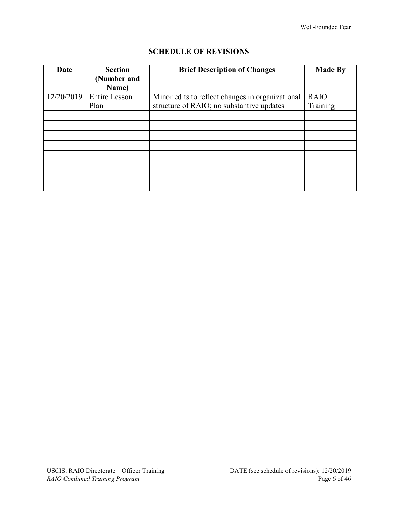| Date       | <b>Section</b>       | <b>Brief Description of Changes</b>              | <b>Made By</b> |
|------------|----------------------|--------------------------------------------------|----------------|
|            | (Number and<br>Name) |                                                  |                |
| 12/20/2019 | <b>Entire Lesson</b> | Minor edits to reflect changes in organizational | <b>RAIO</b>    |
|            | Plan                 | structure of RAIO; no substantive updates        | Training       |
|            |                      |                                                  |                |
|            |                      |                                                  |                |
|            |                      |                                                  |                |
|            |                      |                                                  |                |
|            |                      |                                                  |                |
|            |                      |                                                  |                |
|            |                      |                                                  |                |

# **SCHEDULE OF REVISIONS**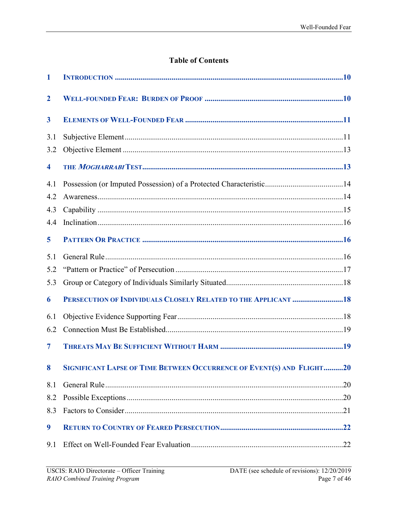# **Table of Contents**

| 1                       |                                                                       |
|-------------------------|-----------------------------------------------------------------------|
| $\overline{2}$          |                                                                       |
| 3                       |                                                                       |
| 3.1                     |                                                                       |
| 3.2                     |                                                                       |
| $\overline{\mathbf{4}}$ |                                                                       |
| 4.1                     |                                                                       |
| 4.2                     |                                                                       |
| 4.3                     |                                                                       |
| 4.4                     |                                                                       |
| 5                       |                                                                       |
| 5.1                     |                                                                       |
| 5.2                     |                                                                       |
| 5.3                     |                                                                       |
| 6                       | PERSECUTION OF INDIVIDUALS CLOSELY RELATED TO THE APPLICANT 18        |
| 6.1                     |                                                                       |
| 6.2                     |                                                                       |
| $\overline{7}$          |                                                                       |
| 8                       | SIGNIFICANT LAPSE OF TIME BETWEEN OCCURRENCE OF EVENT(S) AND FLIGHT20 |
| 8.1                     |                                                                       |
| 8.2                     |                                                                       |
| 8.3                     |                                                                       |
| 9                       |                                                                       |
| 9.1                     |                                                                       |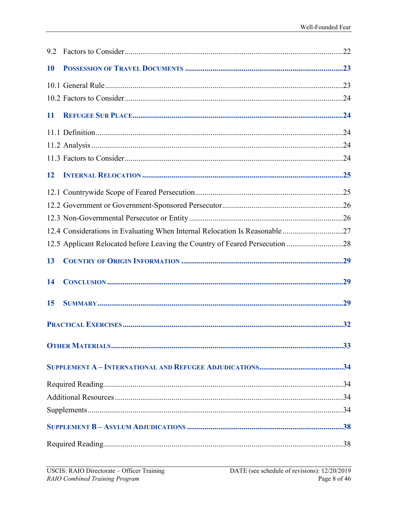| 9.2       |                                                                              |  |
|-----------|------------------------------------------------------------------------------|--|
| <b>10</b> |                                                                              |  |
|           |                                                                              |  |
|           |                                                                              |  |
| 11        |                                                                              |  |
|           |                                                                              |  |
|           |                                                                              |  |
|           |                                                                              |  |
| 12        |                                                                              |  |
|           |                                                                              |  |
|           |                                                                              |  |
|           |                                                                              |  |
|           | 12.4 Considerations in Evaluating When Internal Relocation Is Reasonable 27  |  |
|           | 12.5 Applicant Relocated before Leaving the Country of Feared Persecution 28 |  |
|           |                                                                              |  |
| 13        |                                                                              |  |
| 14        |                                                                              |  |
| 15        |                                                                              |  |
|           |                                                                              |  |
|           |                                                                              |  |
|           |                                                                              |  |
|           |                                                                              |  |
|           |                                                                              |  |
|           |                                                                              |  |
|           |                                                                              |  |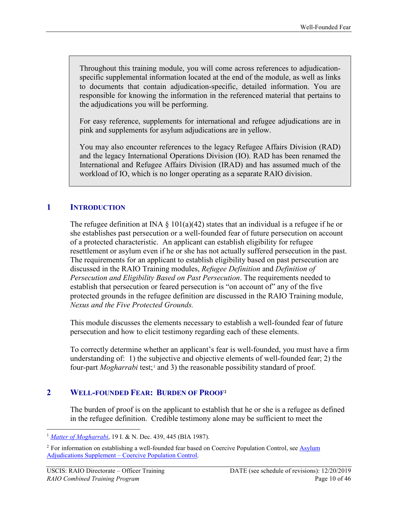Throughout this training module, you will come across references to adjudicationspecific supplemental information located at the end of the module, as well as links to documents that contain adjudication-specific, detailed information. You are responsible for knowing the information in the referenced material that pertains to the adjudications you will be performing.

For easy reference, supplements for international and refugee adjudications are in pink and supplements for asylum adjudications are in yellow.

You may also encounter references to the legacy Refugee Affairs Division (RAD) and the legacy International Operations Division (IO). RAD has been renamed the International and Refugee Affairs Division (IRAD) and has assumed much of the workload of IO, which is no longer operating as a separate RAIO division.

## <span id="page-9-0"></span>**1 INTRODUCTION**

The refugee definition at INA  $\S$  101(a)(42) states that an individual is a refugee if he or she establishes past persecution or a well-founded fear of future persecution on account of a protected characteristic. An applicant can establish eligibility for refugee resettlement or asylum even if he or she has not actually suffered persecution in the past. The requirements for an applicant to establish eligibility based on past persecution are discussed in the RAIO Training modules, *Refugee Definition* and *Definition of Persecution and Eligibility Based on Past Persecution*. The requirements needed to establish that persecution or feared persecution is "on account of" any of the five protected grounds in the refugee definition are discussed in the RAIO Training module, *Nexus and the Five Protected Grounds.*

This module discusses the elements necessary to establish a well-founded fear of future persecution and how to elicit testimony regarding each of these elements.

To correctly determine whether an applicant's fear is well-founded, you must have a firm understanding of: 1) the subjective and objective elements of well-founded fear; 2) the four-part *Mogharrabi* test;<sup>[1](#page-9-2)</sup> and 3) the reasonable possibility standard of proof.

# <span id="page-9-1"></span>**2 WELL-FOUNDED FEAR: BURDEN OF PROOF[2](#page-9-3)**

The burden of proof is on the applicant to establish that he or she is a refugee as defined in the refugee definition. Credible testimony alone may be sufficient to meet the

<span id="page-9-2"></span><sup>&</sup>lt;sup>1</sup> *[Matter of Mogharrabi](http://web2.westlaw.com/find/default.wl?rs=WLW11.04&rp=%2ffind%2fdefault.wl&vr=2.0&fn=_top&mt=Westlaw&cite=19+I%26N+Dec.+439+&sv=Split)*, 19 I. & N. Dec. 439, 445 (BIA 1987).

<span id="page-9-3"></span><sup>&</sup>lt;sup>2</sup> For information on establishing a well-founded fear based on Coercive Population Control, see Asylum Adjudications Supplement – Coercive Population Control.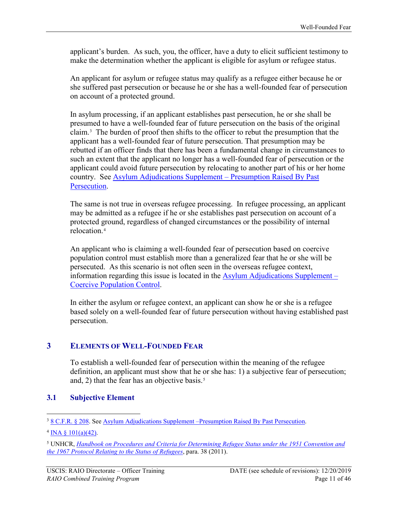applicant's burden. As such, you, the officer, have a duty to elicit sufficient testimony to make the determination whether the applicant is eligible for asylum or refugee status.

An applicant for asylum or refugee status may qualify as a refugee either because he or she suffered past persecution or because he or she has a well-founded fear of persecution on account of a protected ground.

In asylum processing, if an applicant establishes past persecution, he or she shall be presumed to have a well-founded fear of future persecution on the basis of the original claim.[3](#page-10-2) The burden of proof then shifts to the officer to rebut the presumption that the applicant has a well-founded fear of future persecution. That presumption may be rebutted if an officer finds that there has been a fundamental change in circumstances to such an extent that the applicant no longer has a well-founded fear of persecution or the applicant could avoid future persecution by relocating to another part of his or her home country. See [Asylum Adjudications Supplement](#page-40-0) – Presumption Raised By Past [Persecution.](#page-40-0)

<span id="page-10-5"></span>The same is not true in overseas refugee processing. In refugee processing, an applicant may be admitted as a refugee if he or she establishes past persecution on account of a protected ground, regardless of changed circumstances or the possibility of internal relocation.[4](#page-10-3)

An applicant who is claiming a well-founded fear of persecution based on coercive population control must establish more than a generalized fear that he or she will be persecuted. As this scenario is not often seen in the overseas refugee context, information regarding this issue is located in the Asylum Adjudications Supplement – Coercive Population Control.

In either the asylum or refugee context, an applicant can show he or she is a refugee based solely on a well-founded fear of future persecution without having established past persecution.

# <span id="page-10-0"></span>**3 ELEMENTS OF WELL-FOUNDED FEAR**

To establish a well-founded fear of persecution within the meaning of the refugee definition, an applicant must show that he or she has: 1) a subjective fear of persecution; and, 2) that the fear has an objective basis.<sup>[5](#page-10-4)</sup>

# <span id="page-10-1"></span>**3.1 Subjective Element**

<span id="page-10-2"></span> <sup>3</sup> [8 C.F.R. § 208.](http://www.uscis.gov/ilink/docView/SLB/HTML/SLB/0-0-0-1/0-0-0-11261/0-0-0-14927.html) See Asylum Adjudications [Supplement –Presumption Raised By Past Persecution.](#page-40-0)

<span id="page-10-3"></span> $4$  [INA § 101\(a\)\(42\).](http://www.uscis.gov/ilink/docView/SLB/HTML/SLB/0-0-0-1/0-0-0-29/0-0-0-101.html)

<span id="page-10-4"></span><sup>5</sup> UNHCR, *[Handbook on Procedures and Criteria for Determining Refugee Status under the 1951 Convention and](http://www.unhcr.org/cgi-bin/texis/vtx/refworld/rwmain?page=search&docid=4f33c8d92&skip=0&query=UNHCR%20Handbook%20on%20Procedures%20and%20Criteria%202011)  [the 1967 Protocol Relating to the Status of Refugees](http://www.unhcr.org/cgi-bin/texis/vtx/refworld/rwmain?page=search&docid=4f33c8d92&skip=0&query=UNHCR%20Handbook%20on%20Procedures%20and%20Criteria%202011)*, [para. 38](file://inswebwork/intranetasylum/Lessons/handbook.pdf) (2011).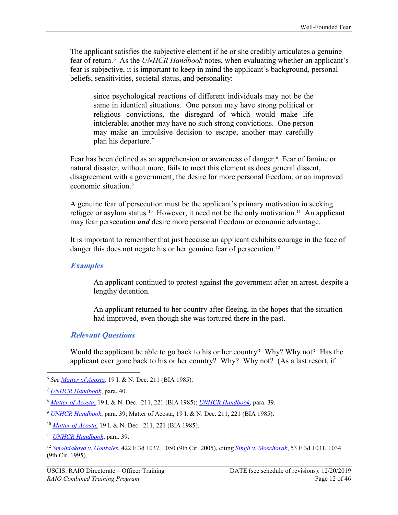The applicant satisfies the subjective element if he or she credibly articulates a genuine fear of return.<sup>[6](#page-11-0)</sup> As the *UNHCR Handbook* notes, when evaluating whether an applicant's fear is subjective, it is important to keep in mind the applicant's background, personal beliefs, sensitivities, societal status, and personality:

since psychological reactions of different individuals may not be the same in identical situations. One person may have strong political or religious convictions, the disregard of which would make life intolerable; another may have no such strong convictions. One person may make an impulsive decision to escape, another may carefully plan his departure.[7](#page-11-1)

Fear has been defined as an apprehension or awareness of danger.<sup>[8](#page-11-2)</sup> Fear of famine or natural disaster, without more, fails to meet this element as does general dissent, disagreement with a government, the desire for more personal freedom, or an improved economic situation.[9](#page-11-3)

A genuine fear of persecution must be the applicant's primary motivation in seeking refugee or asylum status.<sup>10</sup> However, it need not be the only motivation.<sup>11</sup> An applicant may fear persecution *and* desire more personal freedom or economic advantage.

It is important to remember that just because an applicant exhibits courage in the face of danger this does not negate his or her genuine fear of persecution.<sup>12</sup>

#### **Examples**

An applicant continued to protest against the government after an arrest, despite a lengthy detention.

An applicant returned to her country after fleeing, in the hopes that the situation had improved, even though she was tortured there in the past.

#### **Relevant Questions**

Would the applicant be able to go back to his or her country? Why? Why not? Has the applicant ever gone back to his or her country? Why? Why not? (As a last resort, if

<span id="page-11-0"></span> <sup>6</sup> *See [Matter of Acosta,](http://web2.westlaw.com/find/default.wl?findcite=19+I%26N+Dec.+211&RS=WLW2.67&VR=2.0&SV=Split&FN=_top&MT=Westlaw&findgo.x=12&findgo.y=12)* 19 I. & N. Dec. 211 (BIA 1985).

<span id="page-11-1"></span><sup>7</sup> *[UNHCR Handbook](http://ecn.uscis.dhs.gov/team/raio/PerMgt/Training/RAIOTraining/RDOT%20Curriculum%20Library/UNHCR%20Procedures%20and%20Criteria.pdf)*, para. 40.

<span id="page-11-2"></span><sup>8</sup> *[Matter of Acosta,](http://web2.westlaw.com/find/default.wl?findcite=19+I%26N+Dec.+211&RS=WLW2.67&VR=2.0&SV=Split&FN=_top&MT=Westlaw&findgo.x=12&findgo.y=12)* 19 I. & N. Dec. 211, 221 (BIA 1985); *[UNHCR Handbook](http://ecn.uscis.dhs.gov/team/raio/PerMgt/Training/RAIOTraining/RDOT%20Curriculum%20Library/UNHCR%20Procedures%20and%20Criteria.pdf)*, para. 39.

<span id="page-11-3"></span><sup>9</sup> *[UNHCR Handbook](http://ecn.uscis.dhs.gov/team/raio/PerMgt/Training/RAIOTraining/RDOT%20Curriculum%20Library/UNHCR%20Procedures%20and%20Criteria.pdf)*, para. 39; Matter of Acosta, 19 I. & N. Dec. 211, 221 (BIA 1985).

<span id="page-11-4"></span><sup>10</sup> *[Matter of Acosta,](http://web2.westlaw.com/find/default.wl?findcite=19+I%26N+Dec.+211&RS=WLW2.67&VR=2.0&SV=Split&FN=_top&MT=Westlaw&findgo.x=12&findgo.y=12)* 19 I. & N. Dec. 211, 221 (BIA 1985).

<span id="page-11-5"></span><sup>11</sup> *[UNHCR Handbook](http://ecn.uscis.dhs.gov/team/raio/PerMgt/Training/RAIOTraining/RDOT%20Curriculum%20Library/UNHCR%20Procedures%20and%20Criteria.pdf)*, para. 39.

<span id="page-11-6"></span><sup>12</sup> *[Smolniakova v. Gonzales](http://web2.westlaw.com/find/default.wl?rs=WLW11.10&rp=%2ffind%2fdefault.wl&vr=2.0&fn=_top&mt=Westlaw&cite=422+F.3d+1037&sv=Split)*, 422 F.3d 1037, 1050 (9th Cir. 2005), citing *[Singh v. Moschorak](http://web2.westlaw.com/find/default.wl?rs=WLW11.10&rp=%2ffind%2fdefault.wl&vr=2.0&fn=_top&mt=Westlaw&cite=53+F.3d+1031&sv=Split)*, 53 F.3d 1031, 1034 (9th Cir. 1995).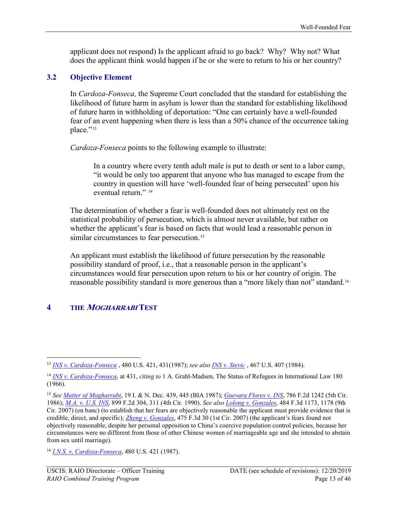applicant does not respond) Is the applicant afraid to go back? Why? Why not? What does the applicant think would happen if he or she were to return to his or her country?

## <span id="page-12-0"></span>**3.2 Objective Element**

In *Cardoza-Fonseca,* the Supreme Court concluded that the standard for establishing the likelihood of future harm in asylum is lower than the standard for establishing likelihood of future harm in withholding of deportation: "One can certainly have a well-founded fear of an event happening when there is less than a 50% chance of the occurrence taking place."<sup>[13](#page-12-2)</sup>

*Cardoza-Fonseca* points to the following example to illustrate:

In a country where every tenth adult male is put to death or sent to a labor camp, "it would be only too apparent that anyone who has managed to escape from the country in question will have 'well-founded fear of being persecuted' upon his eventual return."<sup>[14](#page-12-3)</sup>

The determination of whether a fear is well-founded does not ultimately rest on the statistical probability of persecution, which is almost never available, but rather on whether the applicant's fear is based on facts that would lead a reasonable person in similar circumstances to fear persecution.<sup>15</sup>

An applicant must establish the likelihood of future persecution by the reasonable possibility standard of proof, i.e., that a reasonable person in the applicant's circumstances would fear persecution upon return to his or her country of origin. The reasonable possibility standard is more generous than a "more likely than not" standard.[16](#page-12-5)

# <span id="page-12-1"></span>**4 THE MOGHARRABI TEST**

<span id="page-12-2"></span> <sup>13</sup> *INS [v. Cardoza-Fonseca](http://web2.westlaw.com/find/default.wl?findcite=480+U.S.+421&RS=WLW2.67&VR=2.0&SV=Split&FN=_top&MT=Westlaw&findgo.x=12&findgo.y=9)* , 480 U.S. 421, 431(1987); *see also INS [v. Stevic](http://web2.westlaw.com/find/default.wl?cite=467+U.S.+407+&RS=WLW2.67&VR=2.0&SV=Split&FN=_top&MT=Westlaw&GO.x=14&GO.y=11)* , 467 U.S. <sup>407</sup> (1984).

<span id="page-12-3"></span><sup>14</sup> *INS [v. Cardoza-Fonseca](http://web2.westlaw.com/find/default.wl?findcite=480+U.S.+421&RS=WLW2.67&VR=2.0&SV=Split&FN=_top&MT=Westlaw&findgo.x=12&findgo.y=9)*, at 431, *citing to* 1 A. Grahl-Madsen, The Status of Refugees in International Law 180 (1966).

<span id="page-12-4"></span><sup>15</sup> *See [Matter of Mogharrabi](http://web2.westlaw.com/find/default.wl?rs=WLW11.04&rp=%2ffind%2fdefault.wl&vr=2.0&fn=_top&mt=Westlaw&cite=19+I%26N+Dec.+439+&sv=Split)*, 19 I. & N. Dec. 439, 445 (BIA 1987); *[Guevara Flores v. INS](http://web2.westlaw.com/keycite/default.wl?RS=WLW2.87&VR=2.0&FN=_top&SV=Split&MT=Westlaw&Cite=786+F.2d+1242)*, 786 F.2d 1242 (5th Cir. 1986); *[M.A. v. U.S. INS](http://web2.westlaw.com/find/default.wl?findcite=899+F.2d+304+&RS=WLW2.67&VR=2.0&SV=Split&FN=_top&MT=Westlaw&findgo.x=13&findgo.y=11)*, 899 F.2d 304, 311 (4th Cir. 1990). *See also [Lolong v. Gonzales](http://web2.westlaw.com/find/default.wl?rs=WLW11.04&rp=%2ffind%2fdefault.wl&vr=2.0&fn=_top&mt=Westlaw&cite=484+F.3d+1173&sv=Split)*, 484 F.3d 1173, 1178 (9th Cir. 2007) (en banc) (to establish that her fears are objectively reasonable the applicant must provide evidence that is credible, direct, and specific); *[Zheng v. Gonzales](http://web2.westlaw.com/find/default.wl?rs=WLW11.04&rp=%2ffind%2fdefault.wl&vr=2.0&fn=_top&mt=Westlaw&cite=475+F.3d+30+&sv=Split)*, 475 F.3d 30 (1st Cir. 2007) (the applicant's fears found not objectively reasonable, despite her personal opposition to China's coercive population control policies, because her circumstances were no different from those of other Chinese women of marriageable age and she intended to abstain from sex until marriage).

<span id="page-12-5"></span><sup>16</sup> *[I.N.S. v. Cardoza-Fonseca](http://web2.westlaw.com/find/default.wl?rs=WLW11.10&rp=%2ffind%2fdefault.wl&vr=2.0&fn=_top&mt=Westlaw&cite=480+U.S.+421+&sv=Split)*, 480 U.S. 421 (1987).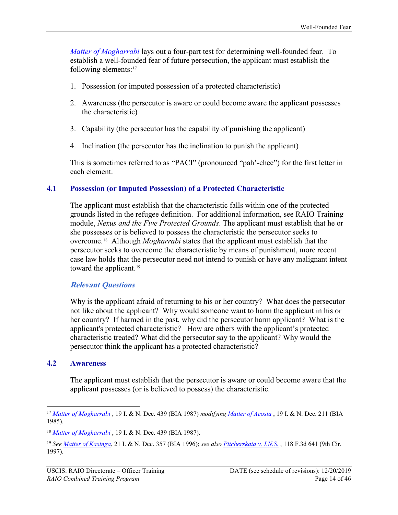*[Matter of Mogharrabi](http://web2.westlaw.com/find/default.wl?rs=WLW11.04&rp=%2ffind%2fdefault.wl&vr=2.0&fn=_top&mt=Westlaw&cite=19+I%26N+Dec.+439+&sv=Split)* lays out a four-part test for determining well-founded fear. To establish a well-founded fear of future persecution, the applicant must establish the following elements:[17](#page-13-2) 

- 1. Possession (or imputed possession of a protected characteristic)
- 2. Awareness (the persecutor is aware or could become aware the applicant possesses the characteristic)
- 3. Capability (the persecutor has the capability of punishing the applicant)
- 4. Inclination (the persecutor has the inclination to punish the applicant) •

This is sometimes referred to as "PACI" (pronounced "pah'-chee") for the first letter in each element.

## <span id="page-13-0"></span>**4.1 Possession (or Imputed Possession) of a Protected Characteristic**

The applicant must establish that the characteristic falls within one of the protected grounds listed in the refugee definition. For additional information, see RAIO Training module, *Nexus and the Five Protected Grounds*. The applicant must establish that he or she possesses or is believed to possess the characteristic the persecutor seeks to overcome.[18](#page-13-3) Although *Mogharrabi* states that the applicant must establish that the persecutor seeks to overcome the characteristic by means of punishment, more recent case law holds that the persecutor need not intend to punish or have any malignant intent toward the applicant.<sup>[19](#page-13-4)</sup>

## **Relevant Questions**

Why is the applicant afraid of returning to his or her country? What does the persecutor not like about the applicant? Why would someone want to harm the applicant in his or her country? If harmed in the past, why did the persecutor harm applicant? What is the applicant's protected characteristic? How are others with the applicant's protected characteristic treated? What did the persecutor say to the applicant? Why would the persecutor think the applicant has a protected characteristic?

#### <span id="page-13-1"></span>**4.2 Awareness**

The applicant must establish that the persecutor is aware or could become aware that the applicant possesses (or is believed to possess) the characteristic.

<span id="page-13-2"></span> <sup>17</sup> *[Matter of Mogharrabi](http://web2.westlaw.com/find/default.wl?rs=WLW11.04&rp=%2ffind%2fdefault.wl&vr=2.0&fn=_top&mt=Westlaw&cite=19+I%26N+Dec.+439+&sv=Split)* , 19 I. & N. Dec. 439 (BIA 1987) *modifyin[g Matter of Acosta](http://web2.westlaw.com/find/default.wl?rs=WLW11.04&rp=%2ffind%2fdefault.wl&vr=2.0&fn=_top&mt=Westlaw&cite=19+I%26N+Dec.+211+&sv=Split)* , 19 I. & N. Dec. 211 (BIA 1985).

<span id="page-13-3"></span><sup>18</sup> *[Matter of Mogharrabi](http://web2.westlaw.com/find/default.wl?rs=WLW11.04&rp=%2ffind%2fdefault.wl&vr=2.0&fn=_top&mt=Westlaw&cite=19+I%26N+Dec.+439+&sv=Split)* , 19 I. & N. Dec. 439 (BIA 1987).

<span id="page-13-4"></span><sup>19</sup> *See [Matter of Kasinga](http://web2.westlaw.com/find/default.wl?rs=WLW11.04&rp=%2ffind%2fdefault.wl&vr=2.0&fn=_top&mt=Westlaw&cite=21+I%26N+Dec.+357+&sv=Split)*, 21 I. & N. Dec. 357 (BIA 1996); *see also [Pitcherskaia v. I.N.S.](http://web2.westlaw.com/find/default.wl?cite=118+F.+3d+641+&RS=WLW2.67&VR=2.0&SV=Split&FN=_top&MT=Westlaw&GO.x=6&GO.y=8)* , 118 F.3d 641 (9th Cir. 1997).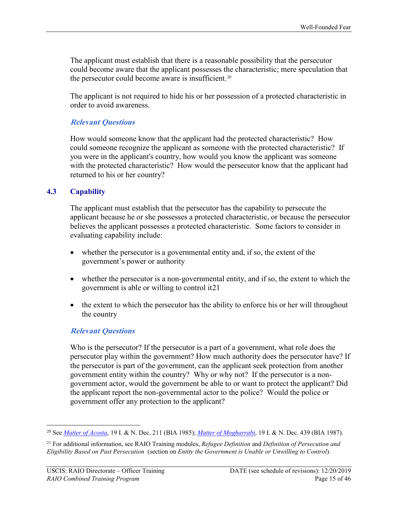The applicant must establish that there is a reasonable possibility that the persecutor could become aware that the applicant possesses the characteristic; mere speculation that the persecutor could become aware is insufficient.<sup>[20](#page-14-1)</sup>

The applicant is not required to hide his or her possession of a protected characteristic in order to avoid awareness.

## **Relevant Questions**

How would someone know that the applicant had the protected characteristic? How could someone recognize the applicant as someone with the protected characteristic? If you were in the applicant's country, how would you know the applicant was someone with the protected characteristic? How would the persecutor know that the applicant had returned to his or her country?

## <span id="page-14-0"></span>**4.3 Capability**

The applicant must establish that the persecutor has the capability to persecute the applicant because he or she possesses a protected characteristic, or because the persecutor believes the applicant possesses a protected characteristic. Some factors to consider in evaluating capability include:

- whether the persecutor is a governmental entity and, if so, the extent of the government's power or authority
- whether the persecutor is a non-governmental entity, and if so, the extent to which the government is able or willing to control it[21](#page-14-2)
- the extent to which the persecutor has the ability to enforce his or her will throughout the country

## **Relevant Questions**

Who is the persecutor? If the persecutor is a part of a government, what role does the persecutor play within the government? How much authority does the persecutor have? If the persecutor is part of the government, can the applicant seek protection from another government entity within the country? Why or why not? If the persecutor is a nongovernment actor, would the government be able to or want to protect the applicant? Did the applicant report the non-governmental actor to the police? Would the police or government offer any protection to the applicant?

<span id="page-14-1"></span> <sup>20</sup> See *[Matter of Acosta](http://web2.westlaw.com/find/default.wl?rs=WLW11.04&rp=%2ffind%2fdefault.wl&vr=2.0&fn=_top&mt=Westlaw&cite=19+I%26N+Dec.+211+&sv=Split)*, 19 I. & N. Dec. 211 (BIA 1985); *[Matter of Mogharrabi](http://web2.westlaw.com/find/default.wl?rs=WLW11.04&rp=%2ffind%2fdefault.wl&vr=2.0&fn=_top&mt=Westlaw&cite=19+I%26N+Dec.+439+&sv=Split)*, 19 I. & N. Dec. 439 (BIA 1987).

<span id="page-14-2"></span><sup>21</sup> For additional information, see RAIO Training modules, *Refugee Definition* and *Definition of Persecution and Eligibility Based on Past Persecution* (section on *Entity the Government is Unable or Unwilling to Control*).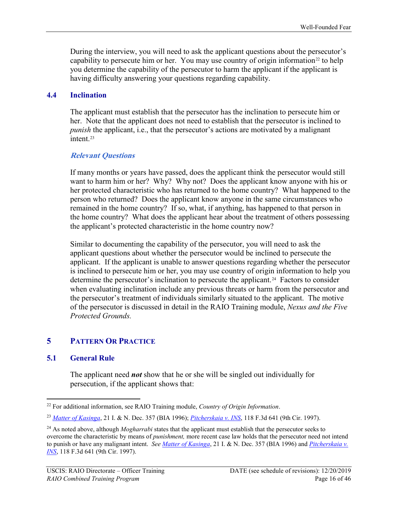During the interview, you will need to ask the applicant questions about the persecutor's capability to persecute him or her. You may use country of origin information<sup>[22](#page-15-3)</sup> to help you determine the capability of the persecutor to harm the applicant if the applicant is having difficulty answering your questions regarding capability.

## <span id="page-15-0"></span>**4.4 Inclination**

The applicant must establish that the persecutor has the inclination to persecute him or her. Note that the applicant does not need to establish that the persecutor is inclined to *punish* the applicant, i.e., that the persecutor's actions are motivated by a malignant intent.<sup>[23](#page-15-4)</sup>

## **Relevant Questions**

If many months or years have passed, does the applicant think the persecutor would still want to harm him or her? Why? Why not? Does the applicant know anyone with his or her protected characteristic who has returned to the home country? What happened to the person who returned? Does the applicant know anyone in the same circumstances who remained in the home country? If so, what, if anything, has happened to that person in the home country? What does the applicant hear about the treatment of others possessing the applicant's protected characteristic in the home country now?

Similar to documenting the capability of the persecutor, you will need to ask the applicant questions about whether the persecutor would be inclined to persecute the applicant. If the applicant is unable to answer questions regarding whether the persecutor is inclined to persecute him or her, you may use country of origin information to help you determine the persecutor's inclination to persecute the applicant.<sup>24</sup> Factors to consider when evaluating inclination include any previous threats or harm from the persecutor and the persecutor's treatment of individuals similarly situated to the applicant. The motive of the persecutor is discussed in detail in the RAIO Training module, *Nexus and the Five Protected Grounds.*

# <span id="page-15-1"></span>**5 PATTERN OR PRACTICE**

# <span id="page-15-2"></span>**5.1 General Rule**

The applicant need *not* show that he or she will be singled out individually for persecution, if the applicant shows that:

<span id="page-15-3"></span> <sup>22</sup> For additional information, see RAIO Training module, *Country of Origin Information*.

<span id="page-15-4"></span><sup>23</sup> *[Matter of Kasinga](http://web2.westlaw.com/find/default.wl?findcite=21+I%26N+Dec.+357&RS=WLW2.67&VR=2.0&SV=Split&FN=_top&MT=Westlaw&findgo.x=11&findgo.y=11)*, 21 I. & N. Dec. 357 (BIA 1996); *[Pitcherskaia v. INS](http://web2.westlaw.com/find/default.wl?cite=118+F.+3d+641+&RS=WLW2.67&VR=2.0&SV=Split&FN=_top&MT=Westlaw&GO.x=6&GO.y=8)*, 118 F.3d 641 (9th Cir. 1997).

<span id="page-15-5"></span><sup>&</sup>lt;sup>24</sup> As noted above, although *Mogharrabi* states that the applicant must establish that the persecutor seeks to overcome the characteristic by means of *punishment,* more recent case law holds that the persecutor need not intend to punish or have any malignant intent. *See [Matter of Kasinga](http://web2.westlaw.com/find/default.wl?findcite=21+I%26N+Dec.+357&RS=WLW2.67&VR=2.0&SV=Split&FN=_top&MT=Westlaw&findgo.x=11&findgo.y=11)*, 21 I. & N. Dec. 357 (BIA 1996) and *[Pitcherskaia v.](http://web2.westlaw.com/find/default.wl?cite=118+F.+3d+641+&RS=WLW2.67&VR=2.0&SV=Split&FN=_top&MT=Westlaw&GO.x=6&GO.y=8)  [INS](http://web2.westlaw.com/find/default.wl?cite=118+F.+3d+641+&RS=WLW2.67&VR=2.0&SV=Split&FN=_top&MT=Westlaw&GO.x=6&GO.y=8)*, 118 F.3d 641 (9th Cir. 1997).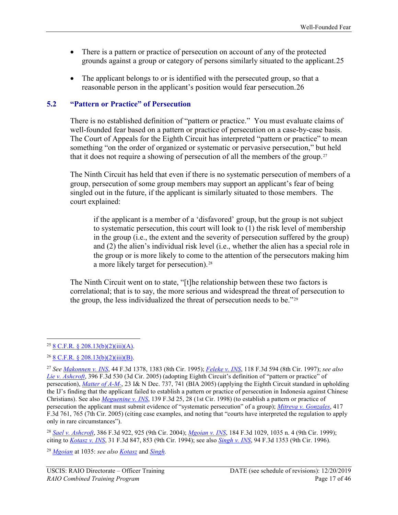- There is a pattern or practice of persecution on account of any of the protected grounds against a group or category of persons similarly situated to the applicant.[25](#page-16-1)
- The applicant belongs to or is identified with the persecuted group, so that a reasonable person in the applicant's position would fear persecution.[26](#page-16-2)

## <span id="page-16-0"></span>**5.2 "Pattern or Practice" of Persecution**

There is no established definition of "pattern or practice." You must evaluate claims of well-founded fear based on a pattern or practice of persecution on a case-by-case basis. The Court of Appeals for the Eighth Circuit has interpreted "pattern or practice" to mean something "on the order of organized or systematic or pervasive persecution," but held that it does not require a showing of persecution of all the members of the group.<sup>[27](#page-16-3)</sup>

The Ninth Circuit has held that even if there is no systematic persecution of members of a group, persecution of some group members may support an applicant's fear of being singled out in the future, if the applicant is similarly situated to those members. The court explained:

if the applicant is a member of a 'disfavored' group, but the group is not subject to systematic persecution, this court will look to (1) the risk level of membership in the group (i.e., the extent and the severity of persecution suffered by the group) and (2) the alien's individual risk level (i.e., whether the alien has a special role in the group or is more likely to come to the attention of the persecutors making him a more likely target for persecution).<sup>[28](#page-16-4)</sup>

The Ninth Circuit went on to state, "[t]he relationship between these two factors is correlational; that is to say, the more serious and widespread the threat of persecution to the group, the less individualized the threat of persecution needs to be."[29](#page-16-5) 

<span id="page-16-4"></span><sup>28</sup> *[Sael v. Ashcroft](http://web2.westlaw.com/find/default.wl?mt=Westlaw&fn=_top&sv=Split&cite=386+F.3d+922&rp=%2ffind%2fdefault.wl&vr=2.0&rs=WLW5.03)*, 386 F.3d 922, 925 (9th Cir. 2004); *[Mgoian v. INS](http://web2.westlaw.com/find/default.wl?cite=184+F.3d+1029+&RS=WLW2.67&VR=2.0&SV=Split&FN=_top&MT=Westlaw&GO.x=3&GO.y=12)*, 184 F.3d 1029, 1035 n. 4 (9th Cir. 1999); citing to *[Kotasz v. INS](http://web2.westlaw.com/KeyCite/default.wl?cite=31+F.3d+847&RS=WLW2.87&VR=2.0&SV=Split&FN=_top&MT=Westlaw&GO.x=3&GO.y=13)*, 31 F.3d 847, 853 (9th Cir. 1994); see also *[Singh v. INS](http://web2.westlaw.com/find/default.wl?cite=94+F.3d+1353+&RS=WLW2.68&VR=2.0&SV=Split&FN=_top&MT=Westlaw&GO.x=14&GO.y=5)*, 94 F.3d 1353 (9th Cir. 1996).

<span id="page-16-5"></span><sup>29</sup> *[Mgoian](http://web2.westlaw.com/find/default.wl?cite=184+F.3d+1029+&RS=WLW2.67&VR=2.0&SV=Split&FN=_top&MT=Westlaw&GO.x=3&GO.y=12)* at 1035: *see also [Kotasz](http://web2.westlaw.com/KeyCite/default.wl?cite=31+F.3d+847&RS=WLW2.87&VR=2.0&SV=Split&FN=_top&MT=Westlaw&GO.x=3&GO.y=13)* and *[Singh.](http://web2.westlaw.com/find/default.wl?cite=94+F.3d+1353+&RS=WLW2.68&VR=2.0&SV=Split&FN=_top&MT=Westlaw&GO.x=14&GO.y=5)*

<span id="page-16-1"></span><sup>&</sup>lt;sup>25</sup> [8 C.F.R. § 208.13\(b\)\(2\)\(iii\)\(A\).](http://www.uscis.gov/ilink/docView/SLB/HTML/SLB/0-0-0-1/0-0-0-11261/0-0-0-14927/0-0-0-15161.html)

<span id="page-16-2"></span> $^{26}$  [8 C.F.R. § 208.13\(b\)\(2\)\(iii\)\(B\).](http://www.uscis.gov/ilink/docView/SLB/HTML/SLB/0-0-0-1/0-0-0-11261/0-0-0-14927/0-0-0-15161.html)

<span id="page-16-3"></span><sup>27</sup> *See [Makonnen v. INS](http://web2.westlaw.com/KeyCite/default.wl?cite=44+F.3d+1378&RS=WLW2.87&VR=2.0&SV=Split&FN=_top&MT=Westlaw&GO.x=11&GO.y=4)*, 44 F.3d 1378, 1383 (8th Cir. 1995); *[Feleke v. INS](http://web2.westlaw.com/KeyCite/default.wl?cite=118+F.3d+594&RS=WLW2.87&VR=2.0&SV=Split&FN=_top&MT=Westlaw&GO.x=12&GO.y=7)*, 118 F.3d 594 (8th Cir. 1997); *see also [Lie v. Ashcroft](http://web2.westlaw.com/find/default.wl?mt=Westlaw&fn=_top&sv=Split&cite=2005+WL+278694+&rp=%2ffind%2fdefault.wl&vr=2.0&rs=WLW5.03)*, 396 F.3d 530 (3d Cir. 2005) (adopting Eighth Circuit's definition of "pattern or practice" of persecution), *[Matter of A-M-](http://www.usdoj.gov/eoir/vll/intdec/vol23/3511.pdf)*, 23 I& N Dec. 737, 741 (BIA 2005) (applying the Eighth Circuit standard in upholding the IJ's finding that the applicant failed to establish a pattern or practice of persecution in Indonesia against Chinese Christians). See also *[Meguenine v. INS](http://web2.westlaw.com/find/default.wl?rs=WLW11.10&rp=%2ffind%2fdefault.wl&vr=2.0&fn=_top&mt=Westlaw&cite=139+F.3d+25&sv=Split)*, 139 F.3d 25, 28 (1st Cir. 1998) (to establish a pattern or practice of persecution the applicant must submit evidence of "systematic persecution" of a group); *[Mitreva v. Gonzales](http://web2.westlaw.com/find/default.wl?rs=WLW11.10&rp=%2ffind%2fdefault.wl&vr=2.0&fn=_top&mt=Westlaw&cite=417+F.3d+761&sv=Split)*, 417 F.3d 761, 765 (7th Cir. 2005) (citing case examples, and noting that "courts have interpreted the regulation to apply only in rare circumstances").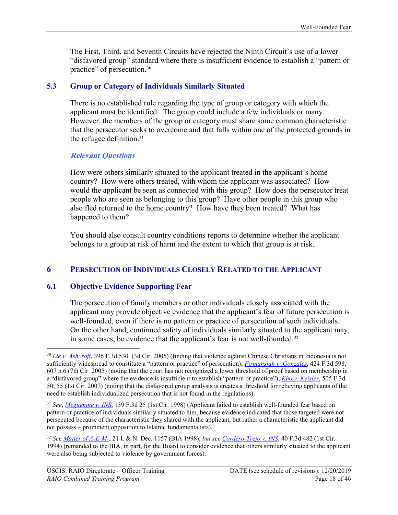The First, Third, and Seventh Circuits have rejected the Ninth Circuit's use of a lower "disfavored group" standard where there is insufficient evidence to establish a "pattern or practice" of persecution.[30](#page-17-3)

## <span id="page-17-0"></span>**5.3 Group or Category of Individuals Similarly Situated**

There is no established rule regarding the type of group or category with which the applicant must be identified. The group could include a few individuals or many. However, the members of the group or category must share some common characteristic that the persecutor seeks to overcome and that falls within one of the protected grounds in the refugee definition.[31](#page-17-4)

## **Relevant Questions**

How were others similarly situated to the applicant treated in the applicant's home country? How were others treated, with whom the applicant was associated? How would the applicant be seen as connected with this group? How does the persecutor treat people who are seen as belonging to this group? Have other people in this group who also fled returned to the home country? How have they been treated? What has happened to them?

You should also consult country conditions reports to determine whether the applicant belongs to a group at risk of harm and the extent to which that group is at risk.

# <span id="page-17-1"></span>**6 PERSECUTION OF INDIVIDUALS CLOSELY RELATED TO THE APPLICANT**

# <span id="page-17-2"></span>**6.1 Objective Evidence Supporting Fear**

The persecution of family members or other individuals closely associated with the applicant may provide objective evidence that the applicant's fear of future persecution is well-founded, even if there is no pattern or practice of persecution of such individuals. On the other hand, continued safety of individuals similarly situated to the applicant may, in some cases, be evidence that the applicant's fear is not well-founded.<sup>[32](#page-17-5)</sup>

<span id="page-17-3"></span> <sup>30</sup> *[Lie v. Ashcroft](http://web2.westlaw.com/find/default.wl?mt=Westlaw&fn=_top&sv=Split&cite=2005+WL+278694+&rp=%2ffind%2fdefault.wl&vr=2.0&rs=WLW5.03)*, 396 F.3d 530 (3d Cir. 2005) (finding that violence against Chinese Christians in Indonesia is not sufficiently widespread to constitute a "pattern or practice" of persecution); *[Firmansjah v. Gonzales](http://web2.westlaw.com/find/default.wl?rs=WLW11.10&rp=%2ffind%2fdefault.wl&vr=2.0&fn=_top&mt=Westlaw&cite=424+F.3d+598&sv=Split)*, 424 F.3d 598, 607 n.6 (7th Cir. 2005) (noting that the court has not recognized a lower threshold of proof based on membership in a "disfavored group" where the evidence is insufficient to establish "pattern or practice"); *[Kho v. Keisler](http://web2.westlaw.com/find/default.wl?fn=_top&rs=WLW8.02&rp=%2ffind%2fdefault.wl&mt=Westlaw&vr=2.0&sv=Split&cite=505+f.3d+50)*, 505 F.3d 50, 55 (1st Cir. 2007) (noting that the disfavored group analysis is creates a threshold for relieving applicants of the need to establish individualized persecution that is not found in the regulations).

<span id="page-17-4"></span><sup>31</sup> *See*, *[Meguenine v. INS](http://web2.westlaw.com/find/default.wl?cite=139+F%2E3d+25&FN=%5Ftop&GO%2Ex=3&GO%2Ey=10&MT=Westlaw&RS=WLW2%2E67&strRecreate=no&sv=Split&VR=2%2E0)*, 139 F.3d 25 (1st Cir. 1998) (Applicant failed to establish well-founded fear based on pattern or practice of individuals similarly situated to him, because evidence indicated that those targeted were not persecuted because of the characteristic they shared with the applicant, but rather a characteristic the applicant did not possess – prominent opposition to Islamic fundamentalists).

<span id="page-17-5"></span><sup>32</sup> *See [Matter of A-E-M-](http://web2.westlaw.com/find/default.wl?rs=WLW11.04&rp=%2ffind%2fdefault.wl&vr=2.0&fn=_top&mt=Westlaw&cite=21+I%26N+Dec.+1157+&sv=Split)*, 21 I. & N. Dec. 1157 (BIA 1998); *but see [Cordero-Trejo v. INS](http://web2.westlaw.com/find/default.wl?cite=40+F.3d+482&RS=WLW2.68&VR=2.0&SV=Split&FN=_top&MT=Westlaw&GO.x=16&GO.y=4)*, 40 F.3d 482 (1st Cir. 1994) (remanded to the BIA, in part, for the Board to consider evidence that others similarly situated to the applicant were also being subjected to violence by government forces).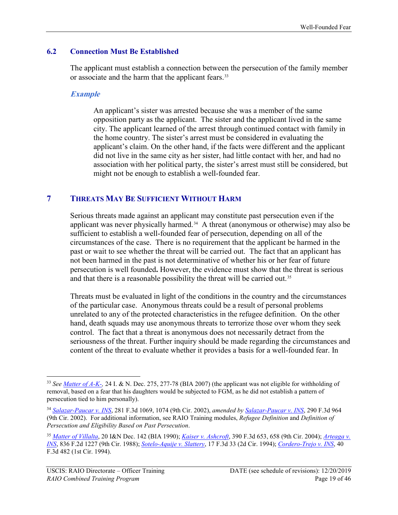## <span id="page-18-0"></span>**6.2 Connection Must Be Established**

The applicant must establish a connection between the persecution of the family member or associate and the harm that the applicant fears.<sup>33</sup>

## **Example**

An applicant's sister was arrested because she was a member of the same opposition party as the applicant. The sister and the applicant lived in the same city. The applicant learned of the arrest through continued contact with family in the home country. The sister's arrest must be considered in evaluating the applicant's claim. On the other hand, if the facts were different and the applicant did not live in the same city as her sister, had little contact with her, and had no association with her political party, the sister's arrest must still be considered, but might not be enough to establish a well-founded fear.

# <span id="page-18-1"></span>**7 THREATS MAY BE SUFFICIENT WITHOUT HARM**

Serious threats made against an applicant may constitute past persecution even if the applicant was never physically harmed. $34$  A threat (anonymous or otherwise) may also be sufficient to establish a well-founded fear of persecution, depending on all of the circumstances of the case. There is no requirement that the applicant be harmed in the past or wait to see whether the threat will be carried out. The fact that an applicant has not been harmed in the past is not determinative of whether his or her fear of future persecution is well founded**.** However, the evidence must show that the threat is serious and that there is a reasonable possibility the threat will be carried out.<sup>[35](#page-18-4)</sup>

Threats must be evaluated in light of the conditions in the country and the circumstances of the particular case. Anonymous threats could be a result of personal problems unrelated to any of the protected characteristics in the refugee definition. On the other hand, death squads may use anonymous threats to terrorize those over whom they seek control. The fact that a threat is anonymous does not necessarily detract from the seriousness of the threat. Further inquiry should be made regarding the circumstances and content of the threat to evaluate whether it provides a basis for a well-founded fear. In

<span id="page-18-2"></span> <sup>33</sup> *See [Matter of A-K-,](http://web2.westlaw.com/find/default.wl?rs=WLW11.10&rp=%2ffind%2fdefault.wl&vr=2.0&fn=_top&mt=Westlaw&cite=24+I%26N+Dec.+275&sv=Split)* 24 I. & N. Dec. 275, 277-78 (BIA 2007) (the applicant was not eligible for withholding of removal, based on a fear that his daughters would be subjected to FGM, as he did not establish a pattern of persecution tied to him personally).

<span id="page-18-3"></span><sup>34</sup> *[Salazar-Paucar v. INS](http://web2.westlaw.com/find/default.wl?findcite=281+F.3d+1069&RS=WLW2.77&VR=2.0&SV=Split&FN=_top&MT=Westlaw&findgo.x=6&findgo.y=10)*, 281 F.3d 1069, 1074 (9th Cir. 2002), *amended by [Salazar-Paucar v. INS](http://web2.westlaw.com/find/default.wl?rs=WLW11.10&rp=%2ffind%2fdefault.wl&vr=2.0&fn=_top&mt=Westlaw&cite=290+F.3d+964+&sv=Split)*, 290 F.3d 964 (9th Cir. 2002). For additional information, see RAIO Training modules, *Refugee Definition* and *Definition of Persecution and Eligibility Based on Past Persecution*.

<span id="page-18-4"></span><sup>35</sup> *[Matter of Villalta](http://web2.westlaw.com/find/default.wl?rs=WLW11.04&rp=%2ffind%2fdefault.wl&vr=2.0&fn=_top&mt=Westlaw&cite=20+I%26N+Dec.+142+&sv=Split)*, 20 I&N Dec. 142 (BIA 1990); *[Kaiser v. Ashcroft](http://web2.westlaw.com/find/default.wl?mt=Westlaw&fn=_top&sv=Split&cite=390+F.3d+653&rp=%2ffind%2fdefault.wl&vr=2.0&rs=WLW5.03)*, 390 F.3d 653, 658 (9th Cir. 2004); *[Arteaga v.](http://web2.westlaw.com/KeyCite/default.wl?cite=836+F%2E2d+1227&clickit=y&ErrHost=EG%2DWLWEB%2DA90&FN=%5Ftop&GO%2Ex=10&GO%2Ey=2&MT=Westlaw&RS=WLW2%2E87&ssl=y&strRecreate=yes&sv=Split&VR=2%2E0)  [INS](http://web2.westlaw.com/KeyCite/default.wl?cite=836+F%2E2d+1227&clickit=y&ErrHost=EG%2DWLWEB%2DA90&FN=%5Ftop&GO%2Ex=10&GO%2Ey=2&MT=Westlaw&RS=WLW2%2E87&ssl=y&strRecreate=yes&sv=Split&VR=2%2E0)*, 836 F.2d 1227 (9th Cir. 1988); *[Sotelo-Aquije v. Slattery](http://web2.westlaw.com/KeyCite/default.wl?cite=17+F.3d+33&RS=WLW2.87&VR=2.0&SV=Split&FN=_top&MT=Westlaw&GO.x=8&GO.y=11)*, 17 F.3d 33 (2d Cir. 1994); *[Cordero-Trejo v. INS](http://web2.westlaw.com/find/default.wl?cite=40+F.3d+482&RS=WLW2.68&VR=2.0&SV=Split&FN=_top&MT=Westlaw&GO.x=16&GO.y=4)*, 40 F.3d 482 (1st Cir. 1994).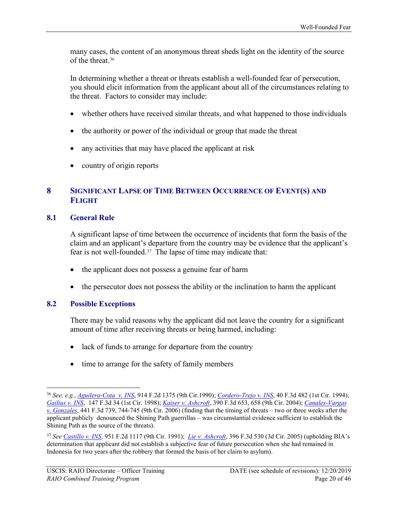many cases, the content of an anonymous threat sheds light on the identity of the source of the threat.[36](#page-19-3)

In determining whether a threat or threats establish a well-founded fear of persecution, you should elicit information from the applicant about all of the circumstances relating to the threat. Factors to consider may include:

- whether others have received similar threats, and what happened to those individuals
- the authority or power of the individual or group that made the threat
- any activities that may have placed the applicant at risk
- country of origin reports

## <span id="page-19-0"></span>**8 SIGNIFICANT LAPSE OF TIME BETWEEN OCCURRENCE OF EVENT(S) AND FLIGHT**

## <span id="page-19-1"></span>**8.1 General Rule**

A significant lapse of time between the occurrence of incidents that form the basis of the claim and an applicant's departure from the country may be evidence that the applicant's fear is not well-founded.[37](#page-19-4) The lapse of time may indicate that:

- the applicant does not possess a genuine fear of harm
- the persecutor does not possess the ability or the inclination to harm the applicant

# <span id="page-19-2"></span>**8.2 Possible Exceptions**

There may be valid reasons why the applicant did not leave the country for a significant amount of time after receiving threats or being harmed, including:

- lack of funds to arrange for departure from the country
- time to arrange for the safety of family members

<span id="page-19-3"></span> <sup>36</sup> *See, e.g.*, *[Aguilera-Cota v. INS](http://web2.westlaw.com/find/default.wl?rs=WLW11.04&rp=%2ffind%2fdefault.wl&vr=2.0&fn=_top&mt=Westlaw&cite=914+F.2d+1375&sv=Split)*, 914 F.2d 1375 (9th Cir.1990); *[Cordero-Trejo v. INS](http://web2.westlaw.com/find/default.wl?cite=40+F.3d+482&RS=WLW2.68&VR=2.0&SV=Split&FN=_top&MT=Westlaw&GO.x=16&GO.y=4)*, 40 F.3d 482 (1st Cir. 1994); *[Gailius v. INS](http://web2.westlaw.com/find/default.wl?findcite=147+F.3d+34+&RS=WLW2.67&VR=2.0&SV=Split&FN=_top&MT=Westlaw&findgo.x=6&findgo.y=6)*, 147 F.3d 34 (1st Cir. 1998); *[Kaiser v. Ashcroft](http://web2.westlaw.com/find/default.wl?mt=Westlaw&fn=_top&sv=Split&cite=390+F.3d+653&rp=%2ffind%2fdefault.wl&vr=2.0&rs=WLW5.03)*, 390 F.3d 653, 658 (9th Cir. 2004); *Canales-Vargas v. [Gonzales](http://web2.westlaw.com/find/default.wl?rs=WLW11.04&rp=%2ffind%2fdefault.wl&vr=2.0&fn=_top&mt=Westlaw&cite=441+F.3d+739&sv=Split)*, 441 F.3d 739, 744-745 (9th Cir. 2006) (finding that the timing of threats – two or three weeks after the applicant publicly denounced the Shining Path guerrillas – was circumstantial evidence sufficient to establish the Shining Path as the source of the threats).

<span id="page-19-4"></span><sup>37</sup> *See [Castillo v. INS](http://web2.westlaw.com/find/default.wl?findcite=951+F.2d+1117&RS=WLW2.67&VR=2.0&SV=Split&FN=_top&MT=Westlaw&findgo.x=11&findgo.y=13)*, 951 F.2d 1117 (9th Cir. 1991); *[Lie v. Ashcroft](http://web2.westlaw.com/find/default.wl?mt=Westlaw&fn=_top&sv=Split&cite=2005+WL+278694+&rp=%2ffind%2fdefault.wl&vr=2.0&rs=WLW5.03)*, 396 F.3d 530 (3d Cir. 2005) (upholding BIA's determination that applicant did not establish a subjective fear of future persecution when she had remained in Indonesia for two years after the robbery that formed the basis of her claim to asylum).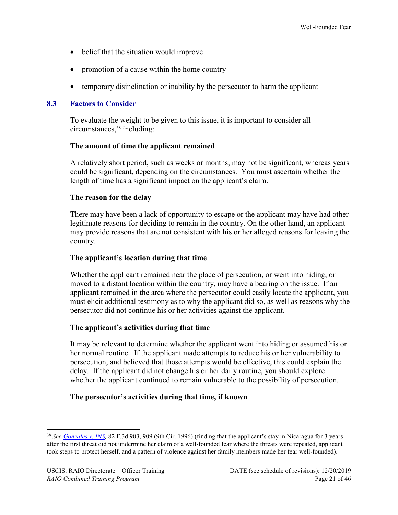- belief that the situation would improve
- promotion of a cause within the home country
- temporary disinclination or inability by the persecutor to harm the applicant

#### <span id="page-20-0"></span>**8.3 Factors to Consider**

To evaluate the weight to be given to this issue, it is important to consider all circumstances,<sup>[38](#page-20-1)</sup> including:

#### **The amount of time the applicant remained**

A relatively short period, such as weeks or months, may not be significant, whereas years could be significant, depending on the circumstances. You must ascertain whether the length of time has a significant impact on the applicant's claim.

#### **The reason for the delay**

There may have been a lack of opportunity to escape or the applicant may have had other legitimate reasons for deciding to remain in the country. On the other hand, an applicant may provide reasons that are not consistent with his or her alleged reasons for leaving the country.

#### **The applicant's location during that time**

Whether the applicant remained near the place of persecution, or went into hiding, or moved to a distant location within the country, may have a bearing on the issue. If an applicant remained in the area where the persecutor could easily locate the applicant, you must elicit additional testimony as to why the applicant did so, as well as reasons why the persecutor did not continue his or her activities against the applicant.

#### **The applicant's activities during that time**

It may be relevant to determine whether the applicant went into hiding or assumed his or her normal routine. If the applicant made attempts to reduce his or her vulnerability to persecution, and believed that those attempts would be effective, this could explain the delay. If the applicant did not change his or her daily routine, you should explore whether the applicant continued to remain vulnerable to the possibility of persecution.

#### **The persecutor's activities during that time, if known**

<span id="page-20-1"></span> <sup>38</sup> *See [Gonzales](http://web2.westlaw.com/find/default.wl?rs=WLW11.04&rp=%2ffind%2fdefault.wl&vr=2.0&fn=_top&mt=Westlaw&cite=82+F.3d+903&sv=Split) v. INS,* 82 F.3d 903, 909 (9th Cir. 1996) (finding that the applicant's stay in Nicaragua for 3 years after the first threat did not undermine her claim of a well-founded fear where the threats were repeated, applicant took steps to protect herself, and a pattern of violence against her family members made her fear well-founded).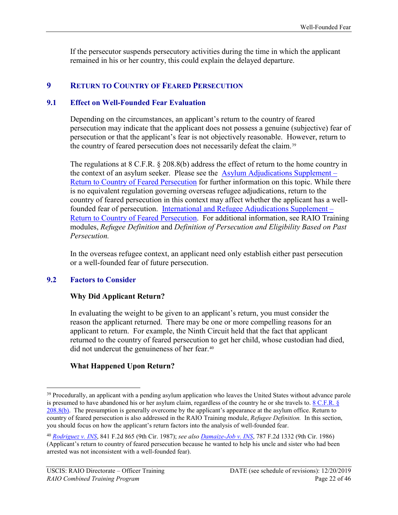If the persecutor suspends persecutory activities during the time in which the applicant remained in his or her country, this could explain the delayed departure.

## <span id="page-21-0"></span>**9 RETURN TO COUNTRY OF FEARED PERSECUTION**

#### <span id="page-21-1"></span>**9.1 Effect on Well-Founded Fear Evaluation**

Depending on the circumstances, an applicant's return to the country of feared persecution may indicate that the applicant does not possess a genuine (subjective) fear of persecution or that the applicant's fear is not objectively reasonable. However, return to the country of feared persecution does not necessarily defeat the claim.<sup>39</sup>

The regulations at 8 C.F.R. § 208.8(b) address the effect of return to the home country in the context of an asylum seeker. Please see the [Asylum Adjudications](#page-39-0) Supplement – [Return to Country of Feared Persecution](#page-39-0) for further information on this topic. While there is no equivalent regulation governing overseas refugee adjudications, return to the country of feared persecution in this context may affect whether the applicant has a wellfounded fear of persecution. [International and Refugee Adjudications](#page-33-4) Supplement – [Return to Country of Feared Persecution.](#page-33-4) For additional information, see RAIO Training modules, *Refugee Definition* and *Definition of Persecution and Eligibility Based on Past Persecution.*

In the overseas refugee context, an applicant need only establish either past persecution or a well-founded fear of future persecution.

#### <span id="page-21-2"></span>**9.2 Factors to Consider**

#### **Why Did Applicant Return?**

In evaluating the weight to be given to an applicant's return, you must consider the reason the applicant returned. There may be one or more compelling reasons for an applicant to return. For example, the Ninth Circuit held that the fact that applicant returned to the country of feared persecution to get her child, whose custodian had died, did not undercut the genuineness of her fear.<sup>[40](#page-21-4)</sup>

## **What Happened Upon Return?**

<span id="page-21-3"></span><sup>&</sup>lt;sup>39</sup> Procedurally, an applicant with a pending asylum application who leaves the United States without advance parole is presumed to have abandoned his or her asylum claim, regardless of the country he or she travels to.  $8 \text{ C.F.R. }$ [208.8\(b\).](http://www.uscis.gov/portal/site/uscis/menuitem.f6da51a2342135be7e9d7a10e0dc91a0/?vgnextoid=fa7e539dc4bed010VgnVCM1000000ecd190aRCRD&vgnextchannel=fa7e539dc4bed010VgnVCM1000000ecd190aRCRD&CH=8cfr) The presumption is generally overcome by the applicant's appearance at the asylum office. Return to country of feared persecution is also addressed in the RAIO Training module, *Refugee Definition.* In this section, you should focus on how the applicant's return factors into the analysis of well-founded fear.

<span id="page-21-4"></span><sup>40</sup> *[Rodriguez v. INS](http://web2.westlaw.com/KeyCite/default.wl?cite=841+F.2d+865&RS=WLW2.87&VR=2.0&SV=Split&FN=_top&MT=Westlaw&GO.x=13&GO.y=10)*, 841 F.2d 865 (9th Cir. 1987); *see also [Damaize-Job v. INS](http://web2.westlaw.com/find/default.wl?findcite=787+F.2d+1332&RS=WLW2.67&VR=2.0&SV=Split&FN=_top&MT=Westlaw&findgo.x=10&findgo.y=9)*, 787 F.2d 1332 (9th Cir. 1986) (Applicant's return to country of feared persecution because he wanted to help his uncle and sister who had been arrested was not inconsistent with a well-founded fear).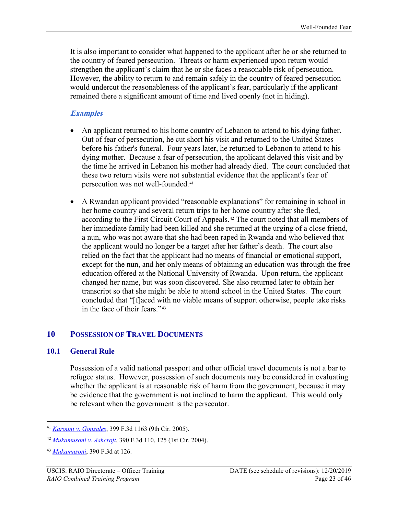It is also important to consider what happened to the applicant after he or she returned to the country of feared persecution. Threats or harm experienced upon return would strengthen the applicant's claim that he or she faces a reasonable risk of persecution. However, the ability to return to and remain safely in the country of feared persecution would undercut the reasonableness of the applicant's fear, particularly if the applicant remained there a significant amount of time and lived openly (not in hiding).

## **Examples**

- An applicant returned to his home country of Lebanon to attend to his dying father. Out of fear of persecution, he cut short his visit and returned to the United States before his father's funeral. Four years later, he returned to Lebanon to attend to his dying mother. Because a fear of persecution, the applicant delayed this visit and by the time he arrived in Lebanon his mother had already died. The court concluded that these two return visits were not substantial evidence that the applicant's fear of persecution was not well-founded.[41](#page-22-2)
- A Rwandan applicant provided "reasonable explanations" for remaining in school in her home country and several return trips to her home country after she fled, according to the First Circuit Court of Appeals.<sup>[42](#page-22-3)</sup> The court noted that all members of her immediate family had been killed and she returned at the urging of a close friend, a nun, who was not aware that she had been raped in Rwanda and who believed that the applicant would no longer be a target after her father's death. The court also relied on the fact that the applicant had no means of financial or emotional support, except for the nun, and her only means of obtaining an education was through the free education offered at the National University of Rwanda. Upon return, the applicant changed her name, but was soon discovered. She also returned later to obtain her transcript so that she might be able to attend school in the United States. The court concluded that "[f]aced with no viable means of support otherwise, people take risks in the face of their fears."[43](#page-22-4)

# <span id="page-22-0"></span>**10 POSSESSION OF TRAVEL DOCUMENTS**

## <span id="page-22-1"></span>**10.1 General Rule**

Possession of a valid national passport and other official travel documents is not a bar to refugee status. However, possession of such documents may be considered in evaluating whether the applicant is at reasonable risk of harm from the government, because it may be evidence that the government is not inclined to harm the applicant. This would only be relevant when the government is the persecutor.

<span id="page-22-2"></span> <sup>41</sup> *[Karouni v. Gonzales](http://web2.westlaw.com/find/default.wl?cite=399+F.3d+1163+&rs=WLW12.01&vr=2.0&rp=%2ffind%2fdefault.wl&sv=Split&fn=_top&mt=Westlaw)*, 399 F.3d 1163 (9th Cir. 2005).

<span id="page-22-3"></span><sup>42</sup> *[Mukamusoni v. Ashcroft](http://web2.westlaw.com/find/default.wl?rs=WLW11.10&rp=%2ffind%2fdefault.wl&vr=2.0&fn=_top&mt=Westlaw&cite=390+F.3d+110&sv=Split)*, 390 F.3d 110, 125 (1st Cir. 2004).

<span id="page-22-4"></span><sup>43</sup> *[Mukamusoni](http://web2.westlaw.com/find/default.wl?rs=WLW11.10&rp=%2ffind%2fdefault.wl&vr=2.0&fn=_top&mt=Westlaw&cite=390+F.3d+110&sv=Split)*, 390 F.3d at 126.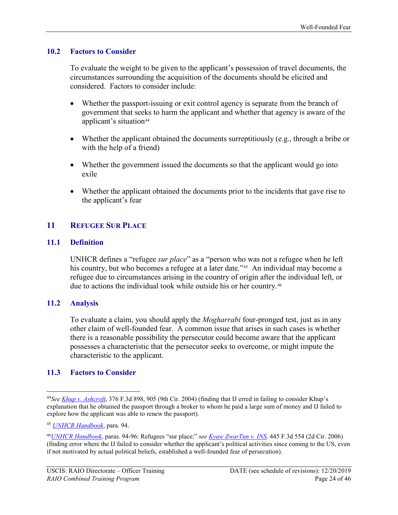## <span id="page-23-0"></span>**10.2 Factors to Consider**

To evaluate the weight to be given to the applicant's possession of travel documents, the circumstances surrounding the acquisition of the documents should be elicited and considered. Factors to consider include:

- Whether the passport-issuing or exit control agency is separate from the branch of government that seeks to harm the applicant and whether that agency is aware of the applicant's situation<sup>[44](#page-23-5)</sup>
- Whether the applicant obtained the documents surreptitiously (e.g., through a bribe or with the help of a friend)
- Whether the government issued the documents so that the applicant would go into exile
- Whether the applicant obtained the documents prior to the incidents that gave rise to the applicant's fear

# <span id="page-23-1"></span>**11 REFUGEE SUR PLACE**

## <span id="page-23-2"></span>**11.1 Definition**

UNHCR defines a "refugee *sur place*" as a "person who was not a refugee when he left his country, but who becomes a refugee at a later date."<sup>[45](#page-23-6)</sup> An individual may become a refugee due to circumstances arising in the country of origin after the individual left, or due to actions the individual took while outside his or her country.<sup>[46](#page-23-7)</sup>

## <span id="page-23-3"></span>**11.2 Analysis**

To evaluate a claim, you should apply the *Mogharrabi* four-pronged test, just as in any other claim of well-founded fear. A common issue that arises in such cases is whether there is a reasonable possibility the persecutor could become aware that the applicant possesses a characteristic that the persecutor seeks to overcome, or might impute the characteristic to the applicant.

## <span id="page-23-4"></span>**11.3 Factors to Consider**

<span id="page-23-5"></span> <sup>44</sup>*See [Khup v. Ashcroft](http://web2.westlaw.com/find/default.wl?mt=Westlaw&fn=_top&sv=Split&cite=376+F.3d+898&rp=%2ffind%2fdefault.wl&vr=2.0&rs=WLW5.03)*, 376 F.3d 898, 905 (9th Cir. 2004) (finding that IJ erred in failing to consider Khup's explanation that he obtained the passport through a broker to whom he paid a large sum of money and IJ failed to explore how the applicant was able to renew the passport).

<span id="page-23-6"></span><sup>45</sup> *[UNHCR Handbook](http://www.unhcr.org/cgi-bin/texis/vtx/refworld/rwmain?page=search&docid=4f33c8d92&skip=0&query=UNHCR%20Handbook%20on%20Procedures%20and%20Criteria%202011)*, para. 94.

<span id="page-23-7"></span><sup>46</sup>*[UNHCR Handbook](http://www.unhcr.org/cgi-bin/texis/vtx/refworld/rwmain?page=search&docid=4f33c8d92&skip=0&query=UNHCR%20Handbook%20on%20Procedures%20and%20Criteria%202011)*, paras. 94-96: Refugees "sur place;" *see [Kyaw ZwarTun v. INS,](http://web2.westlaw.com/find/default.wl?rs=WLW11.04&rp=%2ffind%2fdefault.wl&vr=2.0&fn=_top&mt=Westlaw&cite=445+F.3d+554+&sv=Split)* 445 F.3d 554 (2d Cir. 2006) (finding error where the IJ failed to consider whether the applicant's political activities since coming to the US, even if not motivated by actual political beliefs, established a well-founded fear of persecution).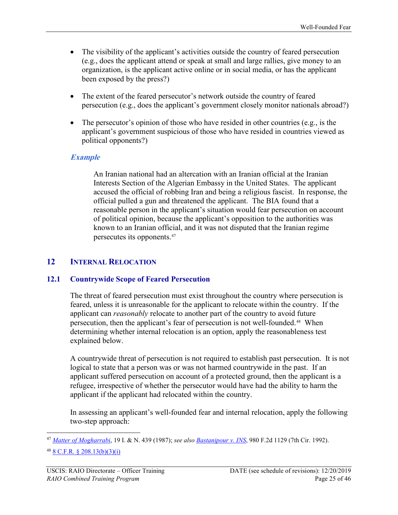- The visibility of the applicant's activities outside the country of feared persecution (e.g., does the applicant attend or speak at small and large rallies, give money to an organization, is the applicant active online or in social media, or has the applicant been exposed by the press?)
- The extent of the feared persecutor's network outside the country of feared persecution (e.g., does the applicant's government closely monitor nationals abroad?)
- The persecutor's opinion of those who have resided in other countries (e.g., is the applicant's government suspicious of those who have resided in countries viewed as political opponents?)

# **Example**

An Iranian national had an altercation with an Iranian official at the Iranian Interests Section of the Algerian Embassy in the United States. The applicant accused the official of robbing Iran and being a religious fascist. In response, the official pulled a gun and threatened the applicant. The BIA found that a reasonable person in the applicant's situation would fear persecution on account of political opinion, because the applicant's opposition to the authorities was known to an Iranian official, and it was not disputed that the Iranian regime persecutes its opponents.[47](#page-24-2)

# <span id="page-24-0"></span>**12 INTERNAL RELOCATION**

# <span id="page-24-1"></span>**12.1 Countrywide Scope of Feared Persecution**

The threat of feared persecution must exist throughout the country where persecution is feared, unless it is unreasonable for the applicant to relocate within the country. If the applicant can *reasonably* relocate to another part of the country to avoid future persecution, then the applicant's fear of persecution is not well-founded.[48](#page-24-3) When determining whether internal relocation is an option, apply the reasonableness test explained below.

A countrywide threat of persecution is not required to establish past persecution. It is not logical to state that a person was or was not harmed countrywide in the past. If an applicant suffered persecution on account of a protected ground, then the applicant is a refugee, irrespective of whether the persecutor would have had the ability to harm the applicant if the applicant had relocated within the country.

In assessing an applicant's well-founded fear and internal relocation, apply the following two-step approach:

<span id="page-24-2"></span> <sup>47</sup> *[Matter of Mogharrabi](http://web2.westlaw.com/find/default.wl?rs=WLW11.04&rp=%2ffind%2fdefault.wl&vr=2.0&fn=_top&mt=Westlaw&cite=19+I%26N+Dec.+439+&sv=Split)*, 19 I. & N. 439 (1987); *see also [Bastanipour v. INS](http://web2.westlaw.com/find/default.wl?findcite=980+F.2d+1129&RS=WLW2.67&VR=2.0&SV=Split&FN=_top&MT=Westlaw&findgo.x=9&findgo.y=10)*, 980 F.2d 1129 (7th Cir. 1992).

<span id="page-24-3"></span><sup>48</sup> [8 C.F.R. § 208.13\(b\)\(3\)\(i\)](http://www.uscis.gov/portal/site/uscis/menuitem.f6da51a2342135be7e9d7a10e0dc91a0/?vgnextoid=fa7e539dc4bed010VgnVCM1000000ecd190aRCRD&vgnextchannel=fa7e539dc4bed010VgnVCM1000000ecd190aRCRD&CH=8cfr)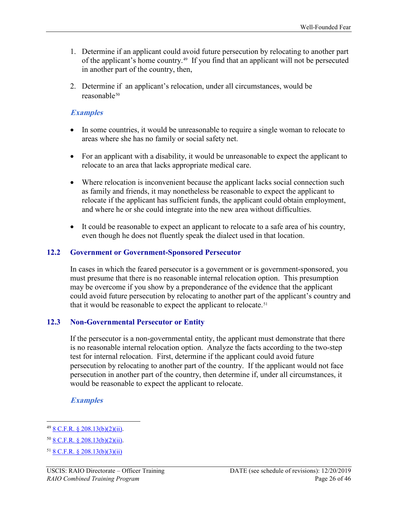- 1. Determine if an applicant could avoid future persecution by relocating to another part of the applicant's home country.<sup>49</sup> If you find that an applicant will not be persecuted in another part of the country, then,
- 2. Determine if an applicant's relocation, under all circumstances, would be reasonable[50](#page-25-3) •

# **Examples**

- In some countries, it would be unreasonable to require a single woman to relocate to areas where she has no family or social safety net.
- For an applicant with a disability, it would be unreasonable to expect the applicant to relocate to an area that lacks appropriate medical care.
- Where relocation is inconvenient because the applicant lacks social connection such as family and friends, it may nonetheless be reasonable to expect the applicant to relocate if the applicant has sufficient funds, the applicant could obtain employment, and where he or she could integrate into the new area without difficulties.
- It could be reasonable to expect an applicant to relocate to a safe area of his country, even though he does not fluently speak the dialect used in that location.

## <span id="page-25-0"></span>**12.2 Government or Government-Sponsored Persecutor**

In cases in which the feared persecutor is a government or is government-sponsored, you must presume that there is no reasonable internal relocation option. This presumption may be overcome if you show by a preponderance of the evidence that the applicant could avoid future persecution by relocating to another part of the applicant's country and that it would be reasonable to expect the applicant to relocate.<sup>[51](#page-25-4)</sup>

## <span id="page-25-1"></span>**12.3 Non-Governmental Persecutor or Entity**

If the persecutor is a non-governmental entity, the applicant must demonstrate that there is no reasonable internal relocation option. Analyze the facts according to the two-step test for internal relocation. First, determine if the applicant could avoid future persecution by relocating to another part of the country. If the applicant would not face persecution in another part of the country, then determine if, under all circumstances, it would be reasonable to expect the applicant to relocate.

## **Examples**

<span id="page-25-2"></span> $49$  [8 C.F.R. § 208.13\(b\)\(2\)\(ii\).](http://www.uscis.gov/ilink/docView/SLB/HTML/SLB/0-0-0-1/0-0-0-11261/0-0-0-14927/0-0-0-15161.html)

<span id="page-25-3"></span><sup>50</sup> [8 C.F.R. § 208.13\(b\)\(2\)\(ii\).](http://www.uscis.gov/ilink/docView/SLB/HTML/SLB/0-0-0-1/0-0-0-11261/0-0-0-14927/0-0-0-15161.html)

<span id="page-25-4"></span><sup>51</sup> [8 C.F.R. § 208.13\(b\)\(3\)\(ii\)](http://www.uscis.gov/portal/site/uscis/menuitem.f6da51a2342135be7e9d7a10e0dc91a0/?vgnextoid=fa7e539dc4bed010VgnVCM1000000ecd190aRCRD&vgnextchannel=fa7e539dc4bed010VgnVCM1000000ecd190aRCRD&CH=8cfr)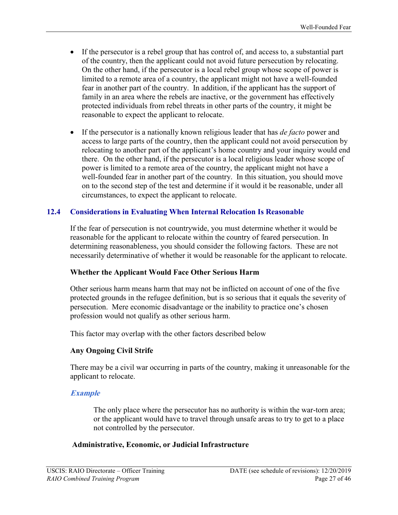- If the persecutor is a rebel group that has control of, and access to, a substantial part of the country, then the applicant could not avoid future persecution by relocating. On the other hand, if the persecutor is a local rebel group whose scope of power is limited to a remote area of a country, the applicant might not have a well-founded fear in another part of the country. In addition, if the applicant has the support of family in an area where the rebels are inactive, or the government has effectively protected individuals from rebel threats in other parts of the country, it might be reasonable to expect the applicant to relocate.
- If the persecutor is a nationally known religious leader that has *de facto* power and access to large parts of the country, then the applicant could not avoid persecution by relocating to another part of the applicant's home country and your inquiry would end there. On the other hand, if the persecutor is a local religious leader whose scope of power is limited to a remote area of the country, the applicant might not have a well-founded fear in another part of the country. In this situation, you should move on to the second step of the test and determine if it would it be reasonable, under all circumstances, to expect the applicant to relocate.

## <span id="page-26-0"></span>**12.4 Considerations in Evaluating When Internal Relocation Is Reasonable**

If the fear of persecution is not countrywide, you must determine whether it would be reasonable for the applicant to relocate within the country of feared persecution. In determining reasonableness, you should consider the following factors. These are not necessarily determinative of whether it would be reasonable for the applicant to relocate.

## **Whether the Applicant Would Face Other Serious Harm**

Other serious harm means harm that may not be inflicted on account of one of the five protected grounds in the refugee definition, but is so serious that it equals the severity of persecution. Mere economic disadvantage or the inability to practice one's chosen profession would not qualify as other serious harm.

This factor may overlap with the other factors described below

## **Any Ongoing Civil Strife**

There may be a civil war occurring in parts of the country, making it unreasonable for the applicant to relocate.

# **Example**

The only place where the persecutor has no authority is within the war-torn area; or the applicant would have to travel through unsafe areas to try to get to a place not controlled by the persecutor.

## **Administrative, Economic, or Judicial Infrastructure**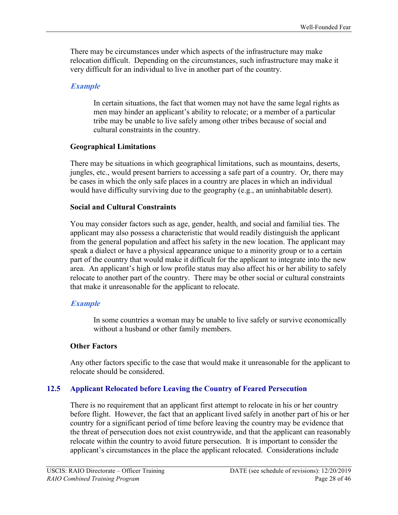There may be circumstances under which aspects of the infrastructure may make relocation difficult. Depending on the circumstances, such infrastructure may make it very difficult for an individual to live in another part of the country.

## **Example**

In certain situations, the fact that women may not have the same legal rights as men may hinder an applicant's ability to relocate; or a member of a particular tribe may be unable to live safely among other tribes because of social and cultural constraints in the country.

## **Geographical Limitations**

There may be situations in which geographical limitations, such as mountains, deserts, jungles, etc., would present barriers to accessing a safe part of a country. Or, there may be cases in which the only safe places in a country are places in which an individual would have difficulty surviving due to the geography (e.g., an uninhabitable desert).

## **Social and Cultural Constraints**

You may consider factors such as age, gender, health, and social and familial ties. The applicant may also possess a characteristic that would readily distinguish the applicant from the general population and affect his safety in the new location. The applicant may speak a dialect or have a physical appearance unique to a minority group or to a certain part of the country that would make it difficult for the applicant to integrate into the new area. An applicant's high or low profile status may also affect his or her ability to safely relocate to another part of the country. There may be other social or cultural constraints that make it unreasonable for the applicant to relocate.

# **Example**

In some countries a woman may be unable to live safely or survive economically without a husband or other family members.

# **Other Factors**

Any other factors specific to the case that would make it unreasonable for the applicant to relocate should be considered.

# <span id="page-27-0"></span>**12.5 Applicant Relocated before Leaving the Country of Feared Persecution**

There is no requirement that an applicant first attempt to relocate in his or her country before flight. However, the fact that an applicant lived safely in another part of his or her country for a significant period of time before leaving the country may be evidence that the threat of persecution does not exist countrywide, and that the applicant can reasonably relocate within the country to avoid future persecution. It is important to consider the applicant's circumstances in the place the applicant relocated. Considerations include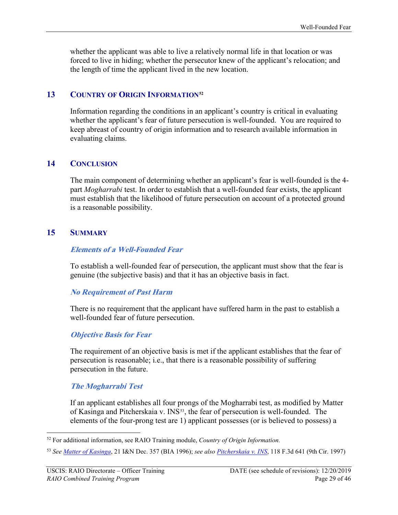whether the applicant was able to live a relatively normal life in that location or was forced to live in hiding; whether the persecutor knew of the applicant's relocation; and the length of time the applicant lived in the new location.

#### <span id="page-28-0"></span>**13 COUNTRY OF ORIGIN INFORMATION[52](#page-28-3)**

Information regarding the conditions in an applicant's country is critical in evaluating whether the applicant's fear of future persecution is well-founded. You are required to keep abreast of country of origin information and to research available information in evaluating claims.

## <span id="page-28-1"></span>**14 CONCLUSION**

The main component of determining whether an applicant's fear is well-founded is the 4 part *Mogharrabi* test. In order to establish that a well-founded fear exists, the applicant must establish that the likelihood of future persecution on account of a protected ground is a reasonable possibility.

#### <span id="page-28-2"></span>**15 SUMMARY**

#### **Elements of a Well-Founded Fear**

To establish a well-founded fear of persecution, the applicant must show that the fear is genuine (the subjective basis) and that it has an objective basis in fact.

#### **No Requirement of Past Harm**

There is no requirement that the applicant have suffered harm in the past to establish a well-founded fear of future persecution.

#### **Objective Basis for Fear**

The requirement of an objective basis is met if the applicant establishes that the fear of persecution is reasonable; i.e., that there is a reasonable possibility of suffering persecution in the future.

## **The Mogharrabi Test**

If an applicant establishes all four prongs of the Mogharrabi test, as modified by Matter of Kasinga and Pitcherskaia v. INS<sup>53</sup>, the fear of persecution is well-founded. The elements of the four-prong test are 1) applicant possesses (or is believed to possess) a

<span id="page-28-3"></span> <sup>52</sup> For additional information, see RAIO Training module, *Country of Origin Information.*

<span id="page-28-4"></span><sup>53</sup> *See [Matter of Kasinga](http://web2.westlaw.com/find/default.wl?findcite=21+I%26N+Dec.+357&RS=WLW2.67&VR=2.0&SV=Split&FN=_top&MT=Westlaw&findgo.x=11&findgo.y=11)*, 21 I&N Dec. 357 (BIA 1996); *see also [Pitcherskaia v. INS](http://web2.westlaw.com/find/default.wl?cite=118+F.+3d+641+&RS=WLW2.67&VR=2.0&SV=Split&FN=_top&MT=Westlaw&GO.x=6&GO.y=8)*, 118 F.3d 641 (9th Cir. 1997)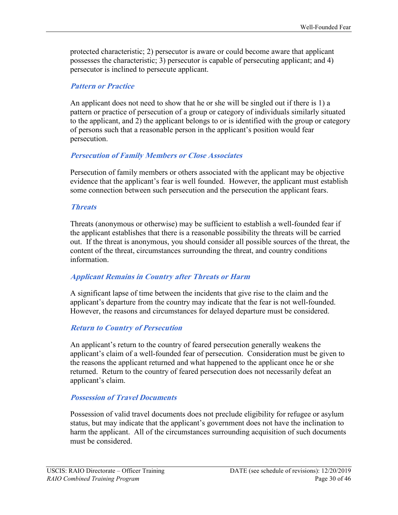protected characteristic; 2) persecutor is aware or could become aware that applicant possesses the characteristic; 3) persecutor is capable of persecuting applicant; and 4) persecutor is inclined to persecute applicant.

## **Pattern or Practice**

An applicant does not need to show that he or she will be singled out if there is 1) a pattern or practice of persecution of a group or category of individuals similarly situated to the applicant, and 2) the applicant belongs to or is identified with the group or category of persons such that a reasonable person in the applicant's position would fear persecution.

# **Persecution of Family Members or Close Associates**

Persecution of family members or others associated with the applicant may be objective evidence that the applicant's fear is well founded. However, the applicant must establish some connection between such persecution and the persecution the applicant fears.

## **Threats**

Threats (anonymous or otherwise) may be sufficient to establish a well-founded fear if the applicant establishes that there is a reasonable possibility the threats will be carried out. If the threat is anonymous, you should consider all possible sources of the threat, the content of the threat, circumstances surrounding the threat, and country conditions information.

# **Applicant Remains in Country after Threats or Harm**

A significant lapse of time between the incidents that give rise to the claim and the applicant's departure from the country may indicate that the fear is not well-founded. However, the reasons and circumstances for delayed departure must be considered.

# **Return to Country of Persecution**

An applicant's return to the country of feared persecution generally weakens the applicant's claim of a well-founded fear of persecution. Consideration must be given to the reasons the applicant returned and what happened to the applicant once he or she returned. Return to the country of feared persecution does not necessarily defeat an applicant's claim.

# **Possession of Travel Documents**

Possession of valid travel documents does not preclude eligibility for refugee or asylum status, but may indicate that the applicant's government does not have the inclination to harm the applicant. All of the circumstances surrounding acquisition of such documents must be considered.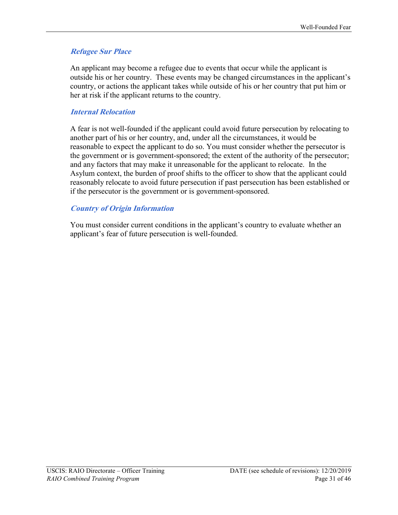## **Refugee Sur Place**

An applicant may become a refugee due to events that occur while the applicant is outside his or her country. These events may be changed circumstances in the applicant's country, or actions the applicant takes while outside of his or her country that put him or her at risk if the applicant returns to the country.

## **Internal Relocation**

A fear is not well-founded if the applicant could avoid future persecution by relocating to another part of his or her country, and, under all the circumstances, it would be reasonable to expect the applicant to do so. You must consider whether the persecutor is the government or is government-sponsored; the extent of the authority of the persecutor; and any factors that may make it unreasonable for the applicant to relocate. In the Asylum context, the burden of proof shifts to the officer to show that the applicant could reasonably relocate to avoid future persecution if past persecution has been established or if the persecutor is the government or is government-sponsored.

## **Country of Origin Information**

You must consider current conditions in the applicant's country to evaluate whether an applicant's fear of future persecution is well-founded.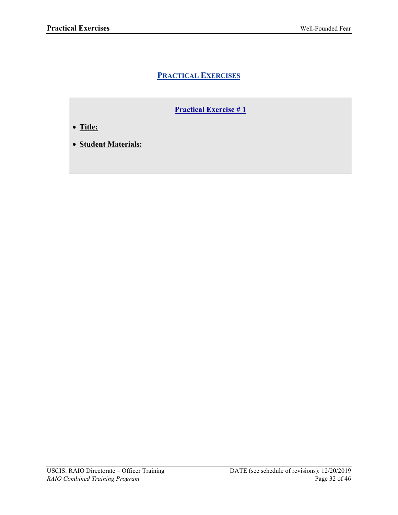# <span id="page-31-0"></span>**PRACTICAL EXERCISES**

# **Practical Exercise # 1**

- **Title:**
- **Student Materials:**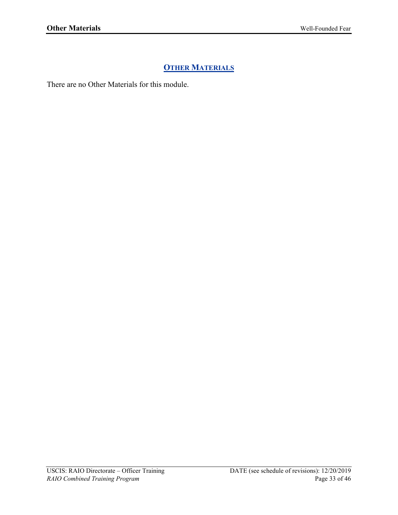# <span id="page-32-0"></span>**OTHER MATERIALS**

There are no Other Materials for this module.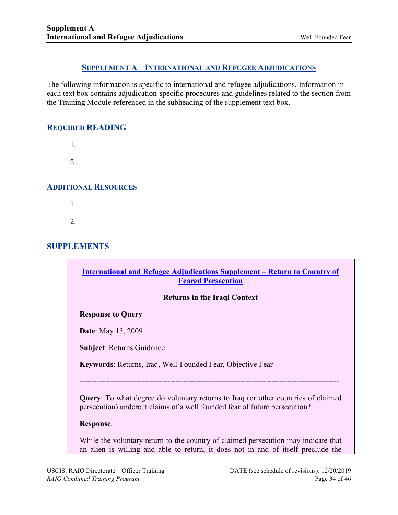#### <span id="page-33-1"></span>**SUPPLEMENT A – INTERNATIONAL AND REFUGEE ADJUDICATIONS**

<span id="page-33-2"></span><span id="page-33-0"></span>The following information is specific to international and refugee adjudications. Information in each text box contains adjudication-specific procedures and guidelines related to the section from the Training Module referenced in the subheading of the supplement text box.

#### **REQUIRED READING**

1.

2. •

#### **ADDITIONAL RESOURCES**

1.

2. •

## **SUPPLEMENTS**

# <span id="page-33-4"></span><span id="page-33-3"></span>**International and Refugee Adjudications Supplement – [Return to Country of](#page-21-0)  [Feared Persecution](#page-21-0)**

#### **Returns in the Iraqi Context**

#### **Response to Query**

**Date**: May 15, 2009

**Subject**: Returns Guidance

**Keywords**: Returns, Iraq, Well-Founded Fear, Objective Fear

**Query**: To what degree do voluntary returns to Iraq (or other countries of claimed persecution) undercut claims of a well founded fear of future persecution?

**----------------------------------------------------------------------------------------------------**

#### **Response**:

While the voluntary return to the country of claimed persecution may indicate that an alien is willing and able to return, it does not in and of itself preclude the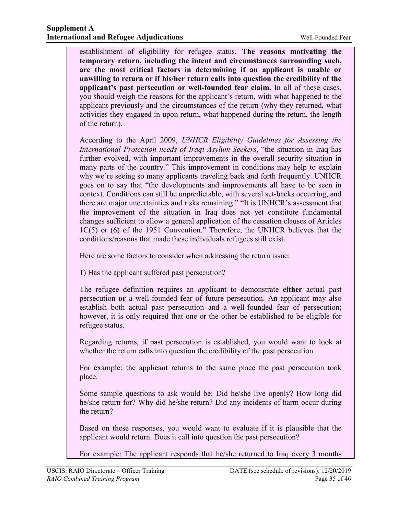establishment of eligibility for refugee status. **The reasons motivating the temporary return, including the intent and circumstances surrounding such, are the most critical factors in determining if an applicant is unable or unwilling to return or if his/her return calls into question the credibility of the applicant's past persecution or well-founded fear claim.** In all of these cases, you should weigh the reasons for the applicant's return, with what happened to the applicant previously and the circumstances of the return (why they returned, what activities they engaged in upon return, what happened during the return, the length of the return).

According to the April 2009, *UNHCR Eligibility Guidelines for Assessing the International Protection needs of Iraqi Asylum-Seekers*, "the situation in Iraq has further evolved, with important improvements in the overall security situation in many parts of the country." This improvement in conditions may help to explain why we're seeing so many applicants traveling back and forth frequently. UNHCR goes on to say that "the developments and improvements all have to be seen in context. Conditions can still be unpredictable, with several set-backs occurring, and there are major uncertainties and risks remaining." "It is UNHCR's assessment that the improvement of the situation in Iraq does not yet constitute fundamental changes sufficient to allow a general application of the cessation clauses of Articles 1C(5) or (6) of the 1951 Convention." Therefore, the UNHCR believes that the conditions/reasons that made these individuals refugees still exist.

Here are some factors to consider when addressing the return issue:

1) Has the applicant suffered past persecution?

The refugee definition requires an applicant to demonstrate **either** actual past persecution **or** a well-founded fear of future persecution. An applicant may also establish both actual past persecution and a well-founded fear of persecution; however, it is only required that one or the other be established to be eligible for refugee status.

Regarding returns, if past persecution is established, you would want to look at whether the return calls into question the credibility of the past persecution.

For example: the applicant returns to the same place the past persecution took place.

Some sample questions to ask would be: Did he/she live openly? How long did he/she return for? Why did he/she return? Did any incidents of harm occur during the return?

Based on these responses, you would want to evaluate if it is plausible that the applicant would return. Does it call into question the past persecution?

For example: The applicant responds that he/she returned to Iraq every 3 months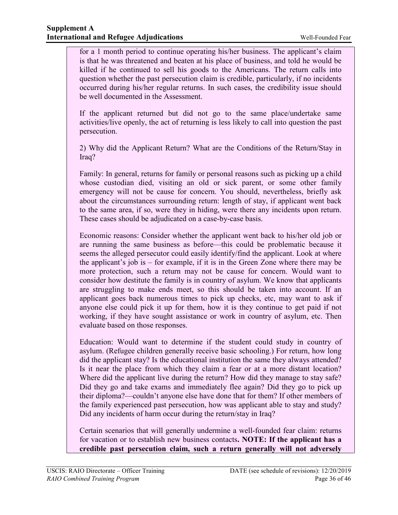for a 1 month period to continue operating his/her business. The applicant's claim is that he was threatened and beaten at his place of business, and told he would be killed if he continued to sell his goods to the Americans. The return calls into question whether the past persecution claim is credible, particularly, if no incidents occurred during his/her regular returns. In such cases, the credibility issue should be well documented in the Assessment.

If the applicant returned but did not go to the same place/undertake same activities/live openly, the act of returning is less likely to call into question the past persecution.

2) Why did the Applicant Return? What are the Conditions of the Return/Stay in Iraq?

Family: In general, returns for family or personal reasons such as picking up a child whose custodian died, visiting an old or sick parent, or some other family emergency will not be cause for concern. You should, nevertheless, briefly ask about the circumstances surrounding return: length of stay, if applicant went back to the same area, if so, were they in hiding, were there any incidents upon return. These cases should be adjudicated on a case-by-case basis.

Economic reasons: Consider whether the applicant went back to his/her old job or are running the same business as before—this could be problematic because it seems the alleged persecutor could easily identify/find the applicant. Look at where the applicant's job is – for example, if it is in the Green Zone where there may be more protection, such a return may not be cause for concern. Would want to consider how destitute the family is in country of asylum. We know that applicants are struggling to make ends meet, so this should be taken into account. If an applicant goes back numerous times to pick up checks, etc, may want to ask if anyone else could pick it up for them, how it is they continue to get paid if not working, if they have sought assistance or work in country of asylum, etc. Then evaluate based on those responses.

Education: Would want to determine if the student could study in country of asylum. (Refugee children generally receive basic schooling.) For return, how long did the applicant stay? Is the educational institution the same they always attended? Is it near the place from which they claim a fear or at a more distant location? Where did the applicant live during the return? How did they manage to stay safe? Did they go and take exams and immediately flee again? Did they go to pick up their diploma?—couldn't anyone else have done that for them? If other members of the family experienced past persecution, how was applicant able to stay and study? Did any incidents of harm occur during the return/stay in Iraq?

Certain scenarios that will generally undermine a well-founded fear claim: returns for vacation or to establish new business contacts**. NOTE: If the applicant has a credible past persecution claim, such a return generally will not adversely**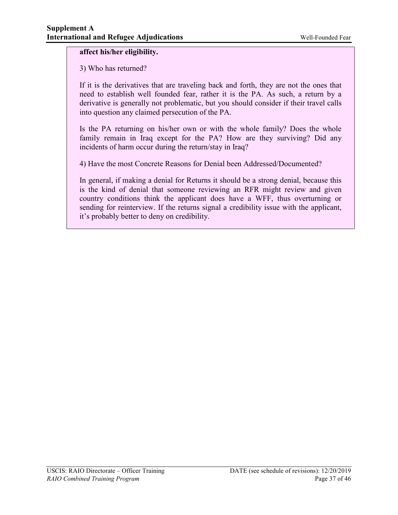#### **affect his/her eligibility.**

3) Who has returned?

If it is the derivatives that are traveling back and forth, they are not the ones that need to establish well founded fear, rather it is the PA. As such, a return by a derivative is generally not problematic, but you should consider if their travel calls into question any claimed persecution of the PA.

Is the PA returning on his/her own or with the whole family? Does the whole family remain in Iraq except for the PA? How are they surviving? Did any incidents of harm occur during the return/stay in Iraq?

4) Have the most Concrete Reasons for Denial been Addressed/Documented?

In general, if making a denial for Returns it should be a strong denial, because this is the kind of denial that someone reviewing an RFR might review and given country conditions think the applicant does have a WFF, thus overturning or sending for reinterview. If the returns signal a credibility issue with the applicant, it's probably better to deny on credibility.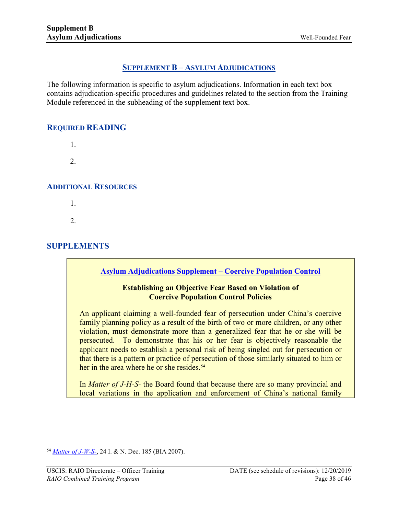#### <span id="page-37-1"></span>**SUPPLEMENT B – ASYLUM ADJUDICATIONS**

<span id="page-37-2"></span><span id="page-37-0"></span>The following information is specific to asylum adjudications. Information in each text box contains adjudication-specific procedures and guidelines related to the section from the Training Module referenced in the subheading of the supplement text box.

#### **REQUIRED READING**

1.

2.

#### **ADDITIONAL RESOURCES**

1.

 $2.$ 

#### **SUPPLEMENTS**

#### <span id="page-37-3"></span>**[Asylum Adjudications Supplement –](#page-9-1) Coercive Population Control**

#### **Establishing an Objective Fear Based on Violation of Coercive Population Control Policies**

An applicant claiming a well-founded fear of persecution under China's coercive family planning policy as a result of the birth of two or more children, or any other violation, must demonstrate more than a generalized fear that he or she will be persecuted. To demonstrate that his or her fear is objectively reasonable the applicant needs to establish a personal risk of being singled out for persecution or that there is a pattern or practice of persecution of those similarly situated to him or her in the area where he or she resides.<sup>[54](#page-37-4)</sup>

In *Matter of J-H-S-* the Board found that because there are so many provincial and local variations in the application and enforcement of China's national family

<span id="page-37-4"></span> <sup>54</sup> *[Matter of J-W-S-](http://web2.westlaw.com/find/default.wl?rs=WLW11.10&rp=%2ffind%2fdefault.wl&vr=2.0&fn=_top&mt=Westlaw&cite=24+I%26N+Dec.+185+&sv=Split)*, 24 I. & N. Dec. 185 (BIA 2007).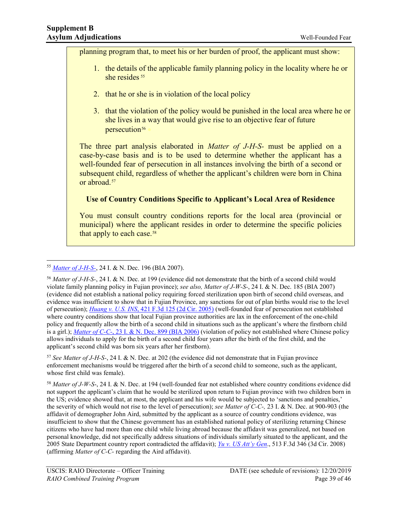planning program that, to meet his or her burden of proof, the applicant must show:

- 1. the details of the applicable family planning policy in the locality where he or she resides<sup>[55](#page-38-0)</sup>
- 2. that he or she is in violation of the local policy
- 3. that the violation of the policy would be punished in the local area where he or she lives in a way that would give rise to an objective fear of future persecution<sup>[56](#page-38-1)</sup>

The three part analysis elaborated in *Matter of J-H-S-* must be applied on a case-by-case basis and is to be used to determine whether the applicant has a well-founded fear of persecution in all instances involving the birth of a second or subsequent child, regardless of whether the applicant's children were born in China or abroad.<sup>[57](#page-38-2)</sup>

## **Use of Country Conditions Specific to Applicant's Local Area of Residence**

You must consult country conditions reports for the local area (provincial or municipal) where the applicant resides in order to determine the specific policies that apply to each case. $58$ 

<span id="page-38-3"></span><sup>58</sup> *Matter of J-W-S*-, 24 I. & N. Dec. at 194 (well-founded fear not established where country conditions evidence did not support the applicant's claim that he would be sterilized upon return to Fujian province with two children born in the US; evidence showed that, at most, the applicant and his wife would be subjected to 'sanctions and penalties,' the severity of which would not rise to the level of persecution); *see Matter of C-C-,* 23 I. & N. Dec. at 900-903 (the affidavit of demographer John Aird, submitted by the applicant as a source of country conditions evidence, was insufficient to show that the Chinese government has an established national policy of sterilizing returning Chinese citizens who have had more than one child while living abroad because the affidavit was generalized, not based on personal knowledge, did not specifically address situations of individuals similarly situated to the applicant, and the 2005 State Department country report contradicted the affidavit); *[Yu v. US Att'y Gen](http://web2.westlaw.com/find/default.wl?fn=_top&rs=WLW8.02&rp=%2ffind%2fdefault.wl&mt=Westlaw&vr=2.0&sv=Split&cite=2008+wl+126632)*., 513 F.3d 346 (3d Cir. 2008) (affirming *Matter of C-C-* regarding the Aird affidavit).

<span id="page-38-0"></span> <sup>55</sup> *[Matter of J-H-S-](http://web2.westlaw.com/find/default.wl?rs=WLW11.10&rp=%2ffind%2fdefault.wl&vr=2.0&fn=_top&mt=Westlaw&cite=24+I%26N+Dec.+196+&sv=Split)*, 24 I. & N. Dec. 196 (BIA 2007).

<span id="page-38-1"></span><sup>56</sup> *Matter of J-H-S-*, 24 I. & N. Dec. at 199 (evidence did not demonstrate that the birth of a second child would violate family planning policy in Fujian province); *see also, Matter of J-W-S-*, 24 I. & N. Dec. 185 (BIA 2007) (evidence did not establish a national policy requiring forced sterilization upon birth of second child overseas, and evidence was insufficient to show that in Fujian Province, any sanctions for out of plan births would rise to the level of persecution); *Huang v. U.S. INS*[, 421 F.3d 125 \(2d Cir. 2005\)](http://web2.westlaw.com/find/default.wl?fn=_top&rs=WLW7.09&rp=%2ffind%2fdefault.wl&mt=Westlaw&vr=2.0&sv=Split&cite=421+f.3d+125) (well-founded fear of persecution not established where country conditions show that local Fujian province authorities are lax in the enforcement of the one-child policy and frequently allow the birth of a second child in situations such as the applicant's where the firstborn child is a girl.); *Matter of C-C-*[, 23 I. & N. Dec.](http://www.usdoj.gov/eoir/vll/intdec/vol23/3530.pdf) 899 (BIA 2006) (violation of policy not established where Chinese policy allows individuals to apply for the birth of a second child four years after the birth of the first child, and the applicant's second child was born six years after her firstborn).

<span id="page-38-2"></span><sup>57</sup> *See Matter of J-H-S-*, 24 I. & N. Dec. at 202 (the evidence did not demonstrate that in Fujian province enforcement mechanisms would be triggered after the birth of a second child to someone, such as the applicant, whose first child was female).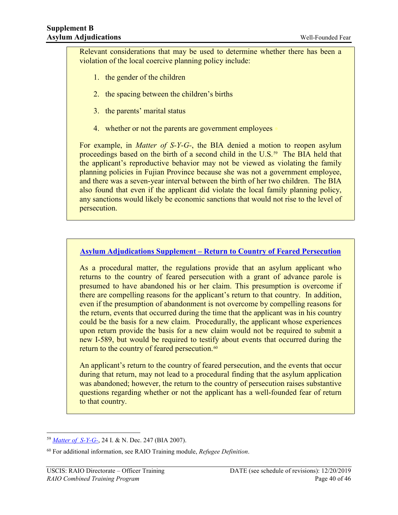Relevant considerations that may be used to determine whether there has been a violation of the local coercive planning policy include:

- 1. the gender of the children
- 2. the spacing between the children's births
- 3. the parents' marital status
- 4. whether or not the parents are government employees

For example, in *Matter of S-Y-G-*, the BIA denied a motion to reopen asylum proceedings based on the birth of a second child in the U.S.<sup>[59](#page-39-1)</sup> The BIA held that the applicant's reproductive behavior may not be viewed as violating the family planning policies in Fujian Province because she was not a government employee, and there was a seven-year interval between the birth of her two children. The BIA also found that even if the applicant did violate the local family planning policy, any sanctions would likely be economic sanctions that would not rise to the level of persecution.

#### <span id="page-39-0"></span>**Asylum Adjudications Supplement – [Return to Country of Feared Persecution](#page-21-0)**

As a procedural matter, the regulations provide that an asylum applicant who returns to the country of feared persecution with a grant of advance parole is presumed to have abandoned his or her claim. This presumption is overcome if there are compelling reasons for the applicant's return to that country. In addition, even if the presumption of abandonment is not overcome by compelling reasons for the return, events that occurred during the time that the applicant was in his country could be the basis for a new claim. Procedurally, the applicant whose experiences upon return provide the basis for a new claim would not be required to submit a new I-589, but would be required to testify about events that occurred during the return to the country of feared persecution.<sup>[60](#page-39-2)</sup>

An applicant's return to the country of feared persecution, and the events that occur during that return, may not lead to a procedural finding that the asylum application was abandoned; however, the return to the country of persecution raises substantive questions regarding whether or not the applicant has a well-founded fear of return to that country.

<span id="page-39-1"></span> <sup>59</sup> *[Matter of S-Y-G-](http://web2.westlaw.com/find/default.wl?rs=WLW11.10&rp=%2ffind%2fdefault.wl&vr=2.0&fn=_top&mt=Westlaw&cite=24+I%26N+Dec.+247+&sv=Split)*, 24 I. & N. Dec. 247 (BIA 2007).

<span id="page-39-2"></span><sup>60</sup> For additional information, see RAIO Training module, *Refugee Definition*.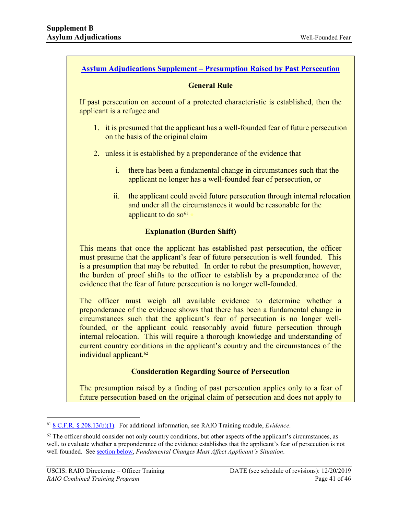#### <span id="page-40-0"></span>**Asylum Adjudications Supplement – [Presumption Raised by Past Persecution](#page-10-5)**

#### **General Rule**

If past persecution on account of a protected characteristic is established, then the applicant is a refugee and

- 1. it is presumed that the applicant has a well-founded fear of future persecution on the basis of the original claim
- 2. unless it is established by a preponderance of the evidence that
	- i. there has been a fundamental change in circumstances such that the applicant no longer has a well-founded fear of persecution, or
	- ii. the applicant could avoid future persecution through internal relocation and under all the circumstances it would be reasonable for the applicant to do so $61$

#### **Explanation (Burden Shift)**

This means that once the applicant has established past persecution, the officer must presume that the applicant's fear of future persecution is well founded. This is a presumption that may be rebutted. In order to rebut the presumption, however, the burden of proof shifts to the officer to establish by a preponderance of the evidence that the fear of future persecution is no longer well-founded.

The officer must weigh all available evidence to determine whether a preponderance of the evidence shows that there has been a fundamental change in circumstances such that the applicant's fear of persecution is no longer wellfounded, or the applicant could reasonably avoid future persecution through internal relocation. This will require a thorough knowledge and understanding of current country conditions in the applicant's country and the circumstances of the individual applicant.<sup>[62](#page-40-2)</sup>

#### **Consideration Regarding Source of Persecution**

The presumption raised by a finding of past persecution applies only to a fear of future persecution based on the original claim of persecution and does not apply to

<span id="page-40-1"></span> <sup>61</sup> [8 C.F.R. § 208.13\(b\)\(1\).](http://www.uscis.gov/portal/site/uscis/menuitem.f6da51a2342135be7e9d7a10e0dc91a0/?vgnextoid=fa7e539dc4bed010VgnVCM1000000ecd190aRCRD&vgnextchannel=fa7e539dc4bed010VgnVCM1000000ecd190aRCRD&CH=8cfr) For additional information, see RAIO Training module, *Evidence*.

<span id="page-40-2"></span> $62$  The officer should consider not only country conditions, but other aspects of the applicant's circumstances, as well, to evaluate whether a preponderance of the evidence establishes that the applicant's fear of persecution is not well founded. See [section below,](#page-41-0) *Fundamental Changes Must Affect Applicant's Situation*.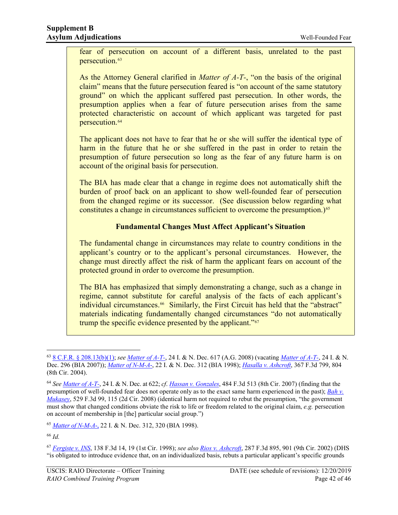fear of persecution on account of a different basis, unrelated to the past persecution.<sup>[63](#page-41-1)</sup>

As the Attorney General clarified in *Matter of A-T-*, "on the basis of the original claim" means that the future persecution feared is "on account of the same statutory ground" on which the applicant suffered past persecution. In other words, the presumption applies when a fear of future persecution arises from the same protected characteristic on account of which applicant was targeted for past persecution.<sup>[64](#page-41-2)</sup>

The applicant does not have to fear that he or she will suffer the identical type of harm in the future that he or she suffered in the past in order to retain the presumption of future persecution so long as the fear of any future harm is on account of the original basis for persecution.

The BIA has made clear that a change in regime does not automatically shift the burden of proof back on an applicant to show well-founded fear of persecution from the changed regime or its successor. (See discussion below regarding what constitutes a change in circumstances sufficient to overcome the presumption.) $65$ 

#### <span id="page-41-0"></span>**Fundamental Changes Must Affect Applicant's Situation**

The fundamental change in circumstances may relate to country conditions in the applicant's country or to the applicant's personal circumstances. However, the change must directly affect the risk of harm the applicant fears on account of the protected ground in order to overcome the presumption.

The BIA has emphasized that simply demonstrating a change, such as a change in regime, cannot substitute for careful analysis of the facts of each applicant's individual circumstances.<sup>66</sup> Similarly, the First Circuit has held that the "abstract" materials indicating fundamentally changed circumstances "do not automatically trump the specific evidence presented by the applicant."<sup>[67](#page-41-5)</sup>

<span id="page-41-3"></span><sup>65</sup> *[Matter of N-M-A](file://inswebwork/intranetasylum/Lessons/href=)*-, 22 I. & N. Dec. 312, 320 (BIA 1998).

<span id="page-41-1"></span> <sup>63</sup> [8 C.F.R. § 208.13\(b\)\(1\);](http://www.uscis.gov/portal/site/uscis/menuitem.f6da51a2342135be7e9d7a10e0dc91a0/?vgnextoid=fa7e539dc4bed010VgnVCM1000000ecd190aRCRD&vgnextchannel=fa7e539dc4bed010VgnVCM1000000ecd190aRCRD&CH=8cfr) *see [Matter of A-T-](http://web2.westlaw.com/find/default.wl?rs=WLW11.10&rp=%2ffind%2fdefault.wl&vr=2.0&fn=_top&mt=Westlaw&cite=24+I%26N+Dec.+617&sv=Split)*, 24 I. & N. Dec. <sup>617</sup> (A.G. 2008) (vacating *[Matter of A-T-](http://web2.westlaw.com/find/default.wl?rs=WLW11.10&rp=%2ffind%2fdefault.wl&vr=2.0&fn=_top&mt=Westlaw&cite=24+I%26N+Dec.+617&sv=Split)*, 24 I. & N. Dec. 296 (BIA 2007)); *[Matter of N-M-A](file://inswebwork/intranetasylum/Lessons/href=)*-, 22 I. & N. Dec. 312 (BIA 1998); *[Hasalla v. Ashcroft](http://web2.westlaw.com/find/default.wl?mt=Westlaw&fn=_top&sv=Split&cite=367+F.3d+799&rp=%2ffind%2fdefault.wl&vr=2.0&rs=WLW5.03)*, 367 F.3d 799, 804 (8th Cir. 2004).

<span id="page-41-2"></span><sup>64</sup> *See [Matter of A-T-](http://web2.westlaw.com/find/default.wl?rs=WLW11.10&rp=%2ffind%2fdefault.wl&vr=2.0&fn=_top&mt=Westlaw&cite=24+I%26N+Dec.+617&sv=Split)*, 24 I. & N. Dec. at 622; *cf*. *[Hassan v. Gonzales](http://web2.westlaw.com/find/default.wl?rs=WLW11.10&rp=%2ffind%2fdefault.wl&vr=2.0&fn=_top&mt=Westlaw&cite=484+F.3d+513+&sv=Split)*, 484 F.3d 513 (8th Cir. 2007) (finding that the presumption of well-founded fear does not operate only as to the exact same harm experienced in the past); *[Bah v.](http://web2.westlaw.com/find/default.wl?rs=WLW11.10&rp=%2ffind%2fdefault.wl&vr=2.0&fn=_top&mt=Westlaw&cite=529+F.3d+99&sv=Split)  [Mukasey](http://web2.westlaw.com/find/default.wl?rs=WLW11.10&rp=%2ffind%2fdefault.wl&vr=2.0&fn=_top&mt=Westlaw&cite=529+F.3d+99&sv=Split)*, 529 F.3d 99, 115 (2d Cir. 2008) (identical harm not required to rebut the presumption, "the government must show that changed conditions obviate the risk to life or freedom related to the original claim, *e.g.* persecution on account of membership in [the] particular social group.")

<span id="page-41-4"></span><sup>66</sup> *Id.*

<span id="page-41-5"></span><sup>67</sup> *[Fergiste v. INS](http://web2.westlaw.com/find/default.wl?findcite=138+F.3d+14&RS=WLW2.67&VR=2.0&SV=Split&FN=_top&MT=Westlaw&findgo.x=9&findgo.y=13)*, 138 F.3d 14, 19 (1st Cir. 1998); *see also [Rios v. Ashcroft](http://web2.westlaw.com/find/default.wl?mt=Westlaw&fn=_top&sv=Split&cite=287+F.3d+895&rp=%2ffind%2fdefault.wl&vr=2.0&rs=WLW5.03)*, 287 F.3d 895, 901 (9th Cir. 2002) (DHS "is obligated to introduce evidence that, on an individualized basis, rebuts a particular applicant's specific grounds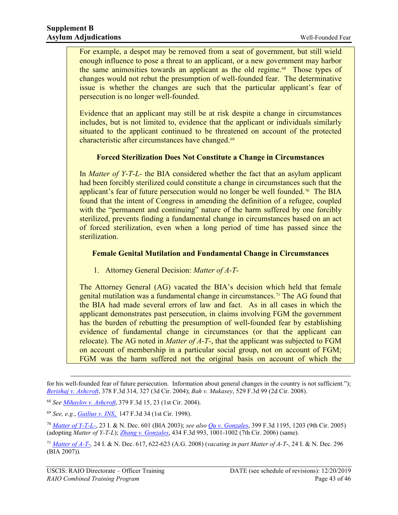For example, a despot may be removed from a seat of government, but still wield enough influence to pose a threat to an applicant, or a new government may harbor the same animosities towards an applicant as the old regime.<sup>[68](#page-42-0)</sup> Those types of changes would not rebut the presumption of well-founded fear. The determinative issue is whether the changes are such that the particular applicant's fear of persecution is no longer well-founded.

Evidence that an applicant may still be at risk despite a change in circumstances includes, but is not limited to, evidence that the applicant or individuals similarly situated to the applicant continued to be threatened on account of the protected characteristic after circumstances have changed.<sup>[69](#page-42-1)</sup>

#### **Forced Sterilization Does Not Constitute a Change in Circumstances**

In *Matter of Y-T-L-* the BIA considered whether the fact that an asylum applicant had been forcibly sterilized could constitute a change in circumstances such that the applicant's fear of future persecution would no longer be well founded.<sup>70</sup> The BIA found that the intent of Congress in amending the definition of a refugee, coupled with the "permanent and continuing" nature of the harm suffered by one forcibly sterilized, prevents finding a fundamental change in circumstances based on an act of forced sterilization, even when a long period of time has passed since the sterilization.

#### **Female Genital Mutilation and Fundamental Change in Circumstances**

1. Attorney General Decision: *Matter of A-T-*

The Attorney General (AG) vacated the BIA's decision which held that female genital mutilation was a fundamental change in circumstances.<sup>[71](#page-42-3)</sup> The AG found that the BIA had made several errors of law and fact. As in all cases in which the applicant demonstrates past persecution, in claims involving FGM the government has the burden of rebutting the presumption of well-founded fear by establishing evidence of fundamental change in circumstances (or that the applicant can relocate). The AG noted in *Matter of A-T-*, that the applicant was subjected to FGM on account of membership in a particular social group, not on account of FGM; FGM was the harm suffered not the original basis on account of which the

 $\overline{a}$ for his well-founded fear of future persecution. Information about general changes in the country is not sufficient."); *[Berishaj v. Ashcroft](http://web2.westlaw.com/find/default.wl?mt=Westlaw&fn=_top&sv=Split&cite=378+F.3d+314&rp=%2ffind%2fdefault.wl&vr=2.0&rs=WLW5.03)*, 378 F.3d 314, 327 (3d Cir. 2004); *Bah v. Mukasey*, 529 F.3d 99 (2d Cir. 2008).

<span id="page-42-0"></span><sup>68</sup> *See [Mihaylov v. Ashcroft](http://web2.westlaw.com/find/default.wl?mt=Westlaw&fn=_top&sv=Split&cite=379+F.3d+15&rp=%2ffind%2fdefault.wl&vr=2.0&rs=WLW5.03)*, 379 F.3d 15, 23 (1st Cir. 2004).

<span id="page-42-1"></span><sup>69</sup> *See, e.g.*, *[Gailius v. INS](http://web2.westlaw.com/find/default.wl?findcite=147+F.3d+34+&RS=WLW2.67&VR=2.0&SV=Split&FN=_top&MT=Westlaw&findgo.x=6&findgo.y=6)*, 147 F.3d 34 (1st Cir. 1998).

<span id="page-42-2"></span><sup>70</sup> *[Matter of Y-T-L-](http://web2.westlaw.com/KeyCite/default.wl?cite=23+I%26N+Dec.+601&RS=WLW2.87&VR=2.0&SV=Split&FN=_top&MT=Westlaw&GO.x=11&GO.y=13)*, 23 I. & N. Dec. 601 (BIA 2003); *see also [Qu v. Gonzales](http://web2.westlaw.com/find/default.wl?rs=WLW11.10&rp=%2ffind%2fdefault.wl&vr=2.0&fn=_top&mt=Westlaw&cite=399+F.3d+1195&sv=Split)*, 399 F.3d 1195, 1203 (9th Cir. 2005) (adopting *Matter of Y-T-L*); *[Zhang v. Gonzales](http://web2.westlaw.com/find/default.wl?rs=WLW11.10&rp=%2ffind%2fdefault.wl&vr=2.0&fn=_top&mt=Westlaw&cite=434+F.3d+993&sv=Split)*, 434 F.3d 993, 1001-1002 (7th Cir. 2006) (same).

<span id="page-42-3"></span><sup>71</sup> *[Matter of A-T-,](http://web2.westlaw.com/find/default.wl?rs=WLW11.10&rp=%2ffind%2fdefault.wl&vr=2.0&fn=_top&mt=Westlaw&cite=24+I%26N+Dec.+617&sv=Split)* 24 I. & N. Dec. 617, 622-623 (A.G. 2008) (*vacating in part Matter of A-T*-, 24 I. & N. Dec. 296 (BIA 2007))*.*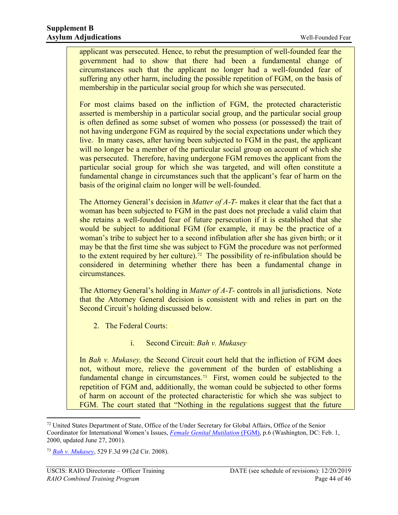applicant was persecuted. Hence, to rebut the presumption of well-founded fear the government had to show that there had been a fundamental change of circumstances such that the applicant no longer had a well-founded fear of suffering any other harm, including the possible repetition of FGM, on the basis of membership in the particular social group for which she was persecuted.

For most claims based on the infliction of FGM, the protected characteristic asserted is membership in a particular social group, and the particular social group is often defined as some subset of women who possess (or possessed) the trait of not having undergone FGM as required by the social expectations under which they live. In many cases, after having been subjected to FGM in the past, the applicant will no longer be a member of the particular social group on account of which she was persecuted. Therefore, having undergone FGM removes the applicant from the particular social group for which she was targeted, and will often constitute a fundamental change in circumstances such that the applicant's fear of harm on the basis of the original claim no longer will be well-founded.

The Attorney General's decision in *Matter of A-T-* makes it clear that the fact that a woman has been subjected to FGM in the past does not preclude a valid claim that she retains a well-founded fear of future persecution if it is established that she would be subject to additional FGM (for example, it may be the practice of a woman's tribe to subject her to a second infibulation after she has given birth; or it may be that the first time she was subject to FGM the procedure was not performed to the extent required by her culture).<sup>72</sup> The possibility of re-infibulation should be considered in determining whether there has been a fundamental change in circumstances.

The Attorney General's holding in *Matter of A-T-* controls in all jurisdictions. Note that the Attorney General decision is consistent with and relies in part on the Second Circuit's holding discussed below.

2. The Federal Courts:

i. Second Circuit: *Bah v. Mukasey*•

In *Bah v. Mukasey,* the Second Circuit court held that the infliction of FGM does not, without more, relieve the government of the burden of establishing a fundamental change in circumstances.[73](#page-43-1) First, women could be subjected to the repetition of FGM and, additionally, the woman could be subjected to other forms of harm on account of the protected characteristic for which she was subject to FGM. The court stated that "Nothing in the regulations suggest that the future

<span id="page-43-0"></span> <sup>72</sup> United States Department of State, Office of the Under Secretary for Global Affairs, Office of the Senior Coordinator for International Women's Issues, *[Female Genital Mutilation](http://www.state.gov/g/wi/rls/rep/c6466.htm)* (FGM), p.6 (Washington, DC: Feb. 1, 2000, updated June 27, 2001).

<span id="page-43-1"></span><sup>73</sup> *[Bah v. Mukasey](http://web2.westlaw.com/find/default.wl?rs=WLW11.10&rp=%2ffind%2fdefault.wl&vr=2.0&fn=_top&mt=Westlaw&cite=529+F.3d+99+&sv=Split)*, 529 F.3d 99 (2d Cir. 2008).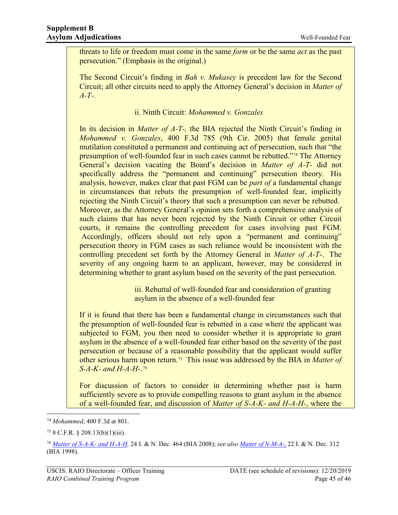threats to life or freedom must come in the same *form* or be the same *act* as the past persecution." (Emphasis in the original.)

The Second Circuit's finding in *Bah v. Mukasey* is precedent law for the Second Circuit; all other circuits need to apply the Attorney General's decision in *Matter of A-T-.*

ii. Ninth Circuit: *Mohammed v. Gonzales*

In its decision in *Matter of A-T-,* the BIA rejected the Ninth Circuit's finding in *Mohammed v. Gonzales*, 400 F.3d 785 (9th Cir. 2005) that female genital mutilation constituted a permanent and continuing act of persecution, such that "the presumption of well-founded fear in such cases cannot be rebutted."[74](#page-44-0) The Attorney General's decision vacating the Board's decision in *Matter of A-T-* did not specifically address the "permanent and continuing" persecution theory. His analysis, however, makes clear that past FGM can be *part of* a fundamental change in circumstances that rebuts the presumption of well-founded fear, implicitly rejecting the Ninth Circuit's theory that such a presumption can never be rebutted. Moreover, as the Attorney General's opinion sets forth a comprehensive analysis of such claims that has never been rejected by the Ninth Circuit or other Circuit courts, it remains the controlling precedent for cases involving past FGM. Accordingly, officers should not rely upon a "permanent and continuing" persecution theory in FGM cases as such reliance would be inconsistent with the controlling precedent set forth by the Attorney General in *Matter of A-T*-. The severity of any ongoing harm to an applicant, however, may be considered in determining whether to grant asylum based on the severity of the past persecution.

> iii. Rebuttal of well-founded fear and consideration of granting asylum in the absence of a well-founded fear

If it is found that there has been a fundamental change in circumstances such that the presumption of well-founded fear is rebutted in a case where the applicant was subjected to FGM, you then need to consider whether it is appropriate to grant asylum in the absence of a well-founded fear either based on the severity of the past persecution or because of a reasonable possibility that the applicant would suffer other serious harm upon return.[75](#page-44-1) This issue was addressed by the BIA in *Matter of S-A-K- and H-A-H-*.[76](#page-44-2)

For discussion of factors to consider in determining whether past is harm sufficiently severe as to provide compelling reasons to grant asylum in the absence of a well-founded fear, and discussion of *Matter of S-A-K- and H-A-H-*, where the

<span id="page-44-0"></span> <sup>74</sup> *Mohammed*, 400 F.3d at 801.

<span id="page-44-1"></span> $75$  8 C.F.R. § 208.13(b)(1)(iii).

<span id="page-44-2"></span><sup>76</sup> *[Matter of S-A-K-](http://web2.westlaw.com/find/default.wl?rs=WLW11.10&rp=%2ffind%2fdefault.wl&vr=2.0&fn=_top&mt=Westlaw&cite=24+I%26+N+Dec.+464+&sv=Split) and H-A-H,* 24 I. & N. Dec. 464 (BIA 2008); *see also [Matter of N-M-A](file://inswebwork/intranetasylum/Lessons/href=)*-, 22 I. & N. Dec. 312 (BIA 1998).